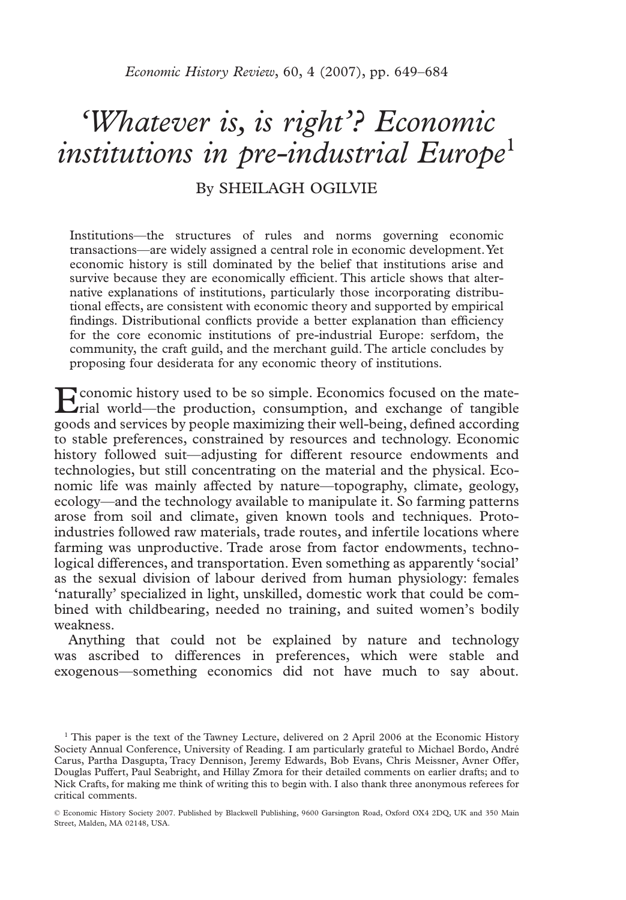*Economic History Review*, 60, 4 (2007), pp. 649–684

# *'Whatever is, is right'? Economic institutions in pre-industrial Europe*<sup>1</sup>

# By SHEILAGH OGILVIE

Institutions—the structures of rules and norms governing economic transactions—are widely assigned a central role in economic development.Yet economic history is still dominated by the belief that institutions arise and survive because they are economically efficient. This article shows that alternative explanations of institutions, particularly those incorporating distributional effects, are consistent with economic theory and supported by empirical findings. Distributional conflicts provide a better explanation than efficiency for the core economic institutions of pre-industrial Europe: serfdom, the community, the craft guild, and the merchant guild. The article concludes by proposing four desiderata for any economic theory of institutions.

Economic history used to be so simple. Economics focused on the mate- $\Delta$ rial world—the production, consumption, and exchange of tangible goods and services by people maximizing their well-being, defined according to stable preferences, constrained by resources and technology. Economic history followed suit—adjusting for different resource endowments and technologies, but still concentrating on the material and the physical. Economic life was mainly affected by nature—topography, climate, geology, ecology—and the technology available to manipulate it. So farming patterns arose from soil and climate, given known tools and techniques. Protoindustries followed raw materials, trade routes, and infertile locations where farming was unproductive. Trade arose from factor endowments, technological differences, and transportation. Even something as apparently 'social' as the sexual division of labour derived from human physiology: females 'naturally' specialized in light, unskilled, domestic work that could be combined with childbearing, needed no training, and suited women's bodily weakness.

Anything that could not be explained by nature and technology was ascribed to differences in preferences, which were stable and exogenous—something economics did not have much to say about.

<sup>&</sup>lt;sup>1</sup> This paper is the text of the Tawney Lecture, delivered on 2 April 2006 at the Economic History Society Annual Conference, University of Reading. I am particularly grateful to Michael Bordo, André Carus, Partha Dasgupta, Tracy Dennison, Jeremy Edwards, Bob Evans, Chris Meissner, Avner Offer, Douglas Puffert, Paul Seabright, and Hillay Zmora for their detailed comments on earlier drafts; and to Nick Crafts, for making me think of writing this to begin with. I also thank three anonymous referees for critical comments.

<sup>©</sup> Economic History Society 2007. Published by Blackwell Publishing, 9600 Garsington Road, Oxford OX4 2DQ, UK and 350 Main Street, Malden, MA 02148, USA.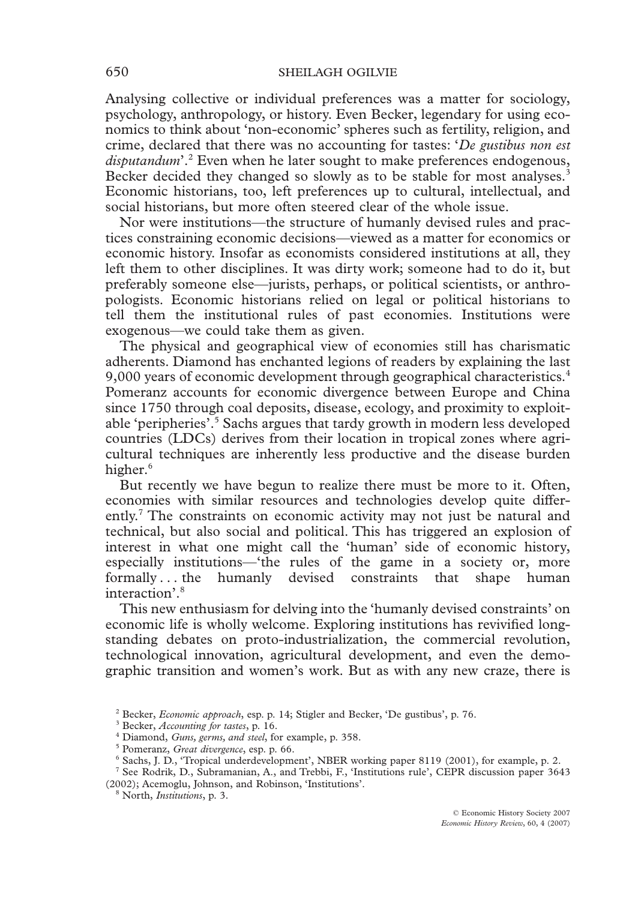Analysing collective or individual preferences was a matter for sociology, psychology, anthropology, or history. Even Becker, legendary for using economics to think about 'non-economic' spheres such as fertility, religion, and crime, declared that there was no accounting for tastes: '*De gustibus non est disputandum*'.<sup>2</sup> Even when he later sought to make preferences endogenous, Becker decided they changed so slowly as to be stable for most analyses.<sup>3</sup> Economic historians, too, left preferences up to cultural, intellectual, and social historians, but more often steered clear of the whole issue.

Nor were institutions—the structure of humanly devised rules and practices constraining economic decisions—viewed as a matter for economics or economic history. Insofar as economists considered institutions at all, they left them to other disciplines. It was dirty work; someone had to do it, but preferably someone else—jurists, perhaps, or political scientists, or anthropologists. Economic historians relied on legal or political historians to tell them the institutional rules of past economies. Institutions were exogenous—we could take them as given.

The physical and geographical view of economies still has charismatic adherents. Diamond has enchanted legions of readers by explaining the last 9,000 years of economic development through geographical characteristics. $4\overline{4}$ Pomeranz accounts for economic divergence between Europe and China since 1750 through coal deposits, disease, ecology, and proximity to exploitable 'peripheries'.<sup>5</sup> Sachs argues that tardy growth in modern less developed countries (LDCs) derives from their location in tropical zones where agricultural techniques are inherently less productive and the disease burden higher.<sup>6</sup>

But recently we have begun to realize there must be more to it. Often, economies with similar resources and technologies develop quite differently.7 The constraints on economic activity may not just be natural and technical, but also social and political. This has triggered an explosion of interest in what one might call the 'human' side of economic history, especially institutions—'the rules of the game in a society or, more formally...the humanly devised constraints that shape human interaction'.8

This new enthusiasm for delving into the 'humanly devised constraints' on economic life is wholly welcome. Exploring institutions has revivified longstanding debates on proto-industrialization, the commercial revolution, technological innovation, agricultural development, and even the demographic transition and women's work. But as with any new craze, there is

<sup>2</sup> Becker, *Economic approach*, esp. p. 14; Stigler and Becker, 'De gustibus', p. 76.

<sup>3</sup> Becker, *Accounting for tastes*, p. 16.

<sup>4</sup> Diamond, *Guns, germs, and steel*, for example, p. 358.

<sup>5</sup> Pomeranz, *Great divergence*, esp. p. 66.

<sup>6</sup> Sachs, J. D., 'Tropical underdevelopment', NBER working paper 8119 (2001), for example, p. 2.

<sup>7</sup> See Rodrik, D., Subramanian, A., and Trebbi, F., 'Institutions rule', CEPR discussion paper 3643 (2002); Acemoglu, Johnson, and Robinson, 'Institutions'.

<sup>8</sup> North, *Institutions*, p. 3.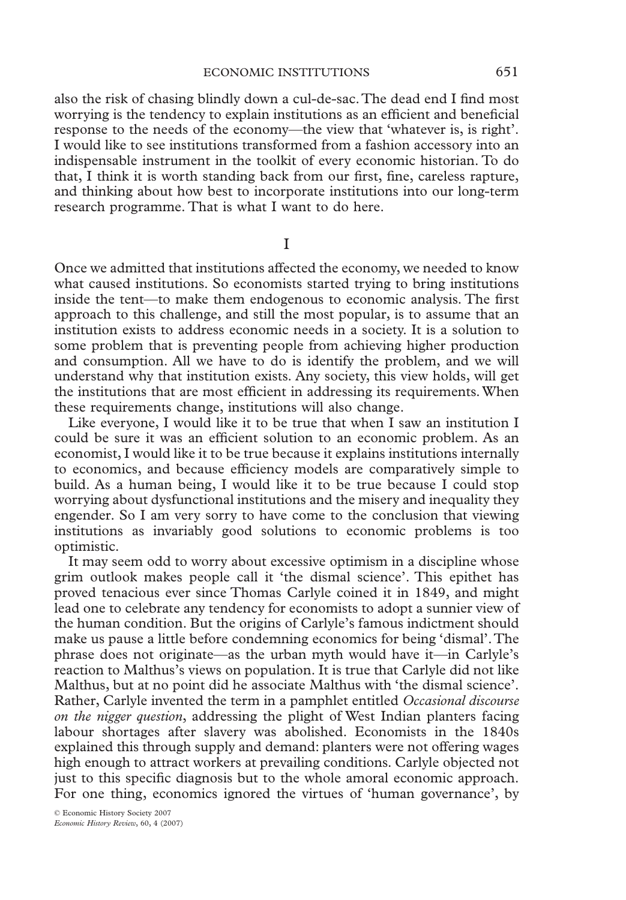also the risk of chasing blindly down a cul-de-sac.The dead end I find most worrying is the tendency to explain institutions as an efficient and beneficial response to the needs of the economy—the view that 'whatever is, is right'. I would like to see institutions transformed from a fashion accessory into an indispensable instrument in the toolkit of every economic historian. To do that, I think it is worth standing back from our first, fine, careless rapture, and thinking about how best to incorporate institutions into our long-term research programme. That is what I want to do here.

I

Once we admitted that institutions affected the economy, we needed to know what caused institutions. So economists started trying to bring institutions inside the tent—to make them endogenous to economic analysis. The first approach to this challenge, and still the most popular, is to assume that an institution exists to address economic needs in a society. It is a solution to some problem that is preventing people from achieving higher production and consumption. All we have to do is identify the problem, and we will understand why that institution exists. Any society, this view holds, will get the institutions that are most efficient in addressing its requirements. When these requirements change, institutions will also change.

Like everyone, I would like it to be true that when I saw an institution I could be sure it was an efficient solution to an economic problem. As an economist, I would like it to be true because it explains institutions internally to economics, and because efficiency models are comparatively simple to build. As a human being, I would like it to be true because I could stop worrying about dysfunctional institutions and the misery and inequality they engender. So I am very sorry to have come to the conclusion that viewing institutions as invariably good solutions to economic problems is too optimistic.

It may seem odd to worry about excessive optimism in a discipline whose grim outlook makes people call it 'the dismal science'. This epithet has proved tenacious ever since Thomas Carlyle coined it in 1849, and might lead one to celebrate any tendency for economists to adopt a sunnier view of the human condition. But the origins of Carlyle's famous indictment should make us pause a little before condemning economics for being 'dismal'.The phrase does not originate—as the urban myth would have it—in Carlyle's reaction to Malthus's views on population. It is true that Carlyle did not like Malthus, but at no point did he associate Malthus with 'the dismal science'. Rather, Carlyle invented the term in a pamphlet entitled *Occasional discourse on the nigger question*, addressing the plight of West Indian planters facing labour shortages after slavery was abolished. Economists in the 1840s explained this through supply and demand: planters were not offering wages high enough to attract workers at prevailing conditions. Carlyle objected not just to this specific diagnosis but to the whole amoral economic approach. For one thing, economics ignored the virtues of 'human governance', by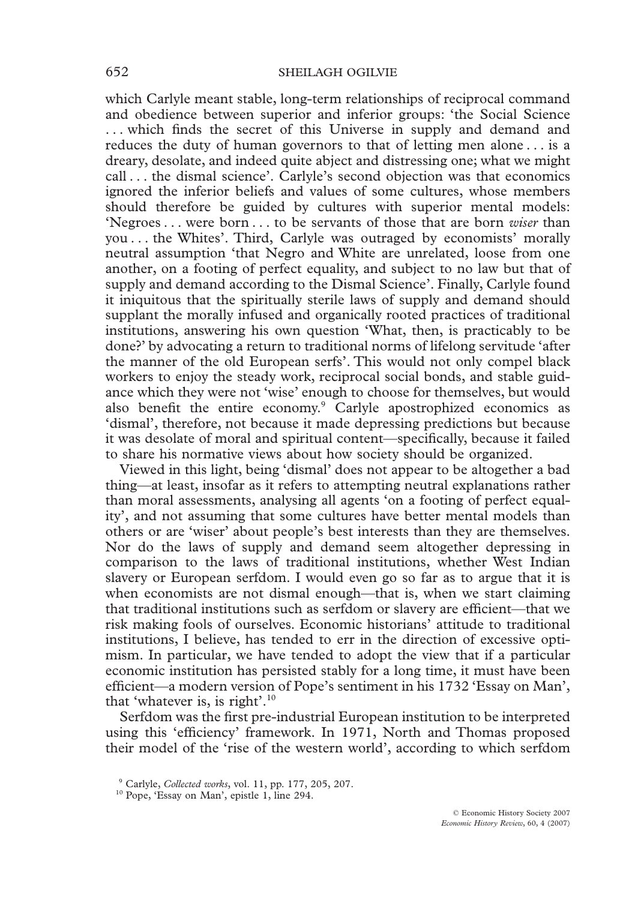which Carlyle meant stable, long-term relationships of reciprocal command and obedience between superior and inferior groups: 'the Social Science . . . which finds the secret of this Universe in supply and demand and reduces the duty of human governors to that of letting men alone . . . is a dreary, desolate, and indeed quite abject and distressing one; what we might call . . . the dismal science'. Carlyle's second objection was that economics ignored the inferior beliefs and values of some cultures, whose members should therefore be guided by cultures with superior mental models: 'Negroes . . . were born . . . to be servants of those that are born *wiser* than you . . . the Whites'. Third, Carlyle was outraged by economists' morally neutral assumption 'that Negro and White are unrelated, loose from one another, on a footing of perfect equality, and subject to no law but that of supply and demand according to the Dismal Science'. Finally, Carlyle found it iniquitous that the spiritually sterile laws of supply and demand should supplant the morally infused and organically rooted practices of traditional institutions, answering his own question 'What, then, is practicably to be done?' by advocating a return to traditional norms of lifelong servitude 'after the manner of the old European serfs'. This would not only compel black workers to enjoy the steady work, reciprocal social bonds, and stable guidance which they were not 'wise' enough to choose for themselves, but would also benefit the entire economy.<sup>9</sup> Carlyle apostrophized economics as 'dismal', therefore, not because it made depressing predictions but because it was desolate of moral and spiritual content—specifically, because it failed to share his normative views about how society should be organized.

Viewed in this light, being 'dismal' does not appear to be altogether a bad thing—at least, insofar as it refers to attempting neutral explanations rather than moral assessments, analysing all agents 'on a footing of perfect equality', and not assuming that some cultures have better mental models than others or are 'wiser' about people's best interests than they are themselves. Nor do the laws of supply and demand seem altogether depressing in comparison to the laws of traditional institutions, whether West Indian slavery or European serfdom. I would even go so far as to argue that it is when economists are not dismal enough—that is, when we start claiming that traditional institutions such as serfdom or slavery are efficient—that we risk making fools of ourselves. Economic historians' attitude to traditional institutions, I believe, has tended to err in the direction of excessive optimism. In particular, we have tended to adopt the view that if a particular economic institution has persisted stably for a long time, it must have been efficient—a modern version of Pope's sentiment in his 1732 'Essay on Man', that 'whatever is, is right'. $10$ 

Serfdom was the first pre-industrial European institution to be interpreted using this 'efficiency' framework. In 1971, North and Thomas proposed their model of the 'rise of the western world', according to which serfdom

<sup>9</sup> Carlyle, *Collected works*, vol. 11, pp. 177, 205, 207.

<sup>10</sup> Pope, 'Essay on Man', epistle 1, line 294.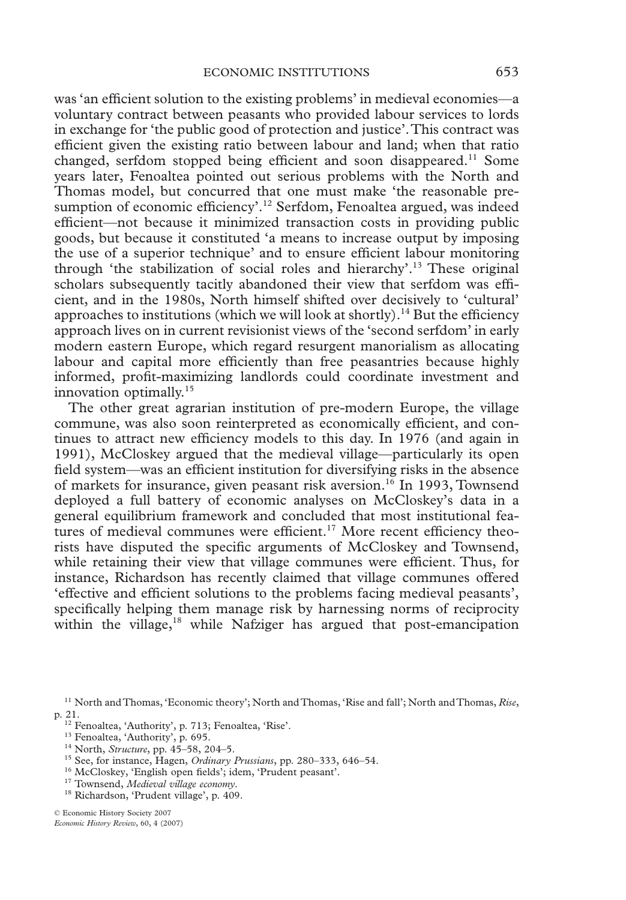was 'an efficient solution to the existing problems' in medieval economies—a voluntary contract between peasants who provided labour services to lords in exchange for 'the public good of protection and justice'.This contract was efficient given the existing ratio between labour and land; when that ratio changed, serfdom stopped being efficient and soon disappeared.<sup>11</sup> Some years later, Fenoaltea pointed out serious problems with the North and Thomas model, but concurred that one must make 'the reasonable presumption of economic efficiency'.<sup>12</sup> Serfdom, Fenoaltea argued, was indeed efficient—not because it minimized transaction costs in providing public goods, but because it constituted 'a means to increase output by imposing the use of a superior technique' and to ensure efficient labour monitoring through 'the stabilization of social roles and hierarchy'.13 These original scholars subsequently tacitly abandoned their view that serfdom was efficient, and in the 1980s, North himself shifted over decisively to 'cultural' approaches to institutions (which we will look at shortly).<sup>14</sup> But the efficiency approach lives on in current revisionist views of the 'second serfdom' in early modern eastern Europe, which regard resurgent manorialism as allocating labour and capital more efficiently than free peasantries because highly informed, profit-maximizing landlords could coordinate investment and innovation optimally.15

The other great agrarian institution of pre-modern Europe, the village commune, was also soon reinterpreted as economically efficient, and continues to attract new efficiency models to this day. In 1976 (and again in 1991), McCloskey argued that the medieval village—particularly its open field system—was an efficient institution for diversifying risks in the absence of markets for insurance, given peasant risk aversion.<sup>16</sup> In 1993, Townsend deployed a full battery of economic analyses on McCloskey's data in a general equilibrium framework and concluded that most institutional features of medieval communes were efficient.<sup>17</sup> More recent efficiency theorists have disputed the specific arguments of McCloskey and Townsend, while retaining their view that village communes were efficient. Thus, for instance, Richardson has recently claimed that village communes offered 'effective and efficient solutions to the problems facing medieval peasants', specifically helping them manage risk by harnessing norms of reciprocity within the village,<sup>18</sup> while Nafziger has argued that post-emancipation

<sup>11</sup> North andThomas, 'Economic theory'; North andThomas, 'Rise and fall'; North andThomas, *Rise*, p. 21.

- <sup>14</sup> North, *Structure*, pp. 45–58, 204–5.
- <sup>15</sup> See, for instance, Hagen, *Ordinary Prussians*, pp. 280–333, 646–54.
- <sup>16</sup> McCloskey, 'English open fields'; idem, 'Prudent peasant'.
- <sup>17</sup> Townsend, *Medieval village economy*.
- <sup>18</sup> Richardson, 'Prudent village', p. 409.

<sup>&</sup>lt;sup>12</sup> Fenoaltea, 'Authority', p. 713; Fenoaltea, 'Rise'.

<sup>&</sup>lt;sup>13</sup> Fenoaltea, 'Authority', p. 695.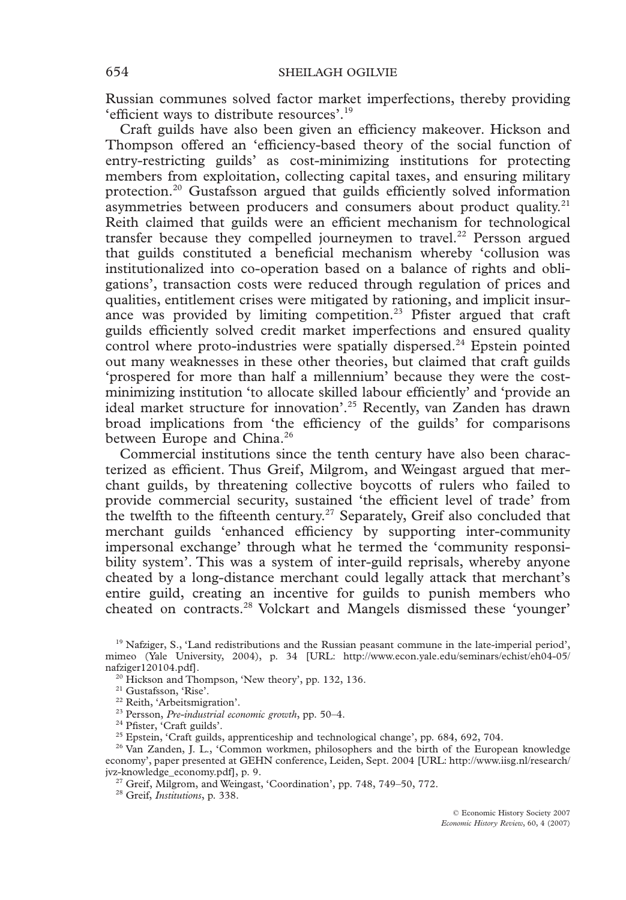Russian communes solved factor market imperfections, thereby providing 'efficient ways to distribute resources'.<sup>19</sup>

Craft guilds have also been given an efficiency makeover. Hickson and Thompson offered an 'efficiency-based theory of the social function of entry-restricting guilds' as cost-minimizing institutions for protecting members from exploitation, collecting capital taxes, and ensuring military protection.20 Gustafsson argued that guilds efficiently solved information asymmetries between producers and consumers about product quality. $21$ Reith claimed that guilds were an efficient mechanism for technological transfer because they compelled journeymen to travel.<sup>22</sup> Persson argued that guilds constituted a beneficial mechanism whereby 'collusion was institutionalized into co-operation based on a balance of rights and obligations', transaction costs were reduced through regulation of prices and qualities, entitlement crises were mitigated by rationing, and implicit insurance was provided by limiting competition.<sup>23</sup> Pfister argued that craft guilds efficiently solved credit market imperfections and ensured quality control where proto-industries were spatially dispersed.<sup>24</sup> Epstein pointed out many weaknesses in these other theories, but claimed that craft guilds 'prospered for more than half a millennium' because they were the costminimizing institution 'to allocate skilled labour efficiently' and 'provide an ideal market structure for innovation'.25 Recently, van Zanden has drawn broad implications from 'the efficiency of the guilds' for comparisons between Europe and China.<sup>26</sup>

Commercial institutions since the tenth century have also been characterized as efficient. Thus Greif, Milgrom, and Weingast argued that merchant guilds, by threatening collective boycotts of rulers who failed to provide commercial security, sustained 'the efficient level of trade' from the twelfth to the fifteenth century.27 Separately, Greif also concluded that merchant guilds 'enhanced efficiency by supporting inter-community impersonal exchange' through what he termed the 'community responsibility system'. This was a system of inter-guild reprisals, whereby anyone cheated by a long-distance merchant could legally attack that merchant's entire guild, creating an incentive for guilds to punish members who cheated on contracts.28 Volckart and Mangels dismissed these 'younger'

<sup>24</sup> Pfister, 'Craft guilds'.

<sup>19</sup> Nafziger, S., 'Land redistributions and the Russian peasant commune in the late-imperial period', mimeo (Yale University, 2004), p. 34 [URL: [http://www.econ.yale.edu/seminars/echist/eh04-05/](http://www.econ.yale.edu/seminars/echist/eh04-05) nafziger120104.pdf].

<sup>&</sup>lt;sup>20</sup> Hickson and Thompson, 'New theory', pp. 132, 136.

<sup>&</sup>lt;sup>21</sup> Gustafsson, 'Rise'.

<sup>22</sup> Reith, 'Arbeitsmigration'.

<sup>23</sup> Persson, *Pre-industrial economic growth*, pp. 50–4.

<sup>&</sup>lt;sup>25</sup> Epstein, 'Craft guilds, apprenticeship and technological change', pp. 684, 692, 704.

<sup>26</sup> Van Zanden, J. L., 'Common workmen, philosophers and the birth of the European knowledge economy', paper presented at GEHN conference, Leiden, Sept. 2004 [URL: [http://www.iisg.nl/research/](http://www.iisg.nl/research) jvz-knowledge\_economy.pdf], p. 9.

<sup>27</sup> Greif, Milgrom, and Weingast, 'Coordination', pp. 748, 749–50, 772.

<sup>28</sup> Greif, *Institutions*, p. 338.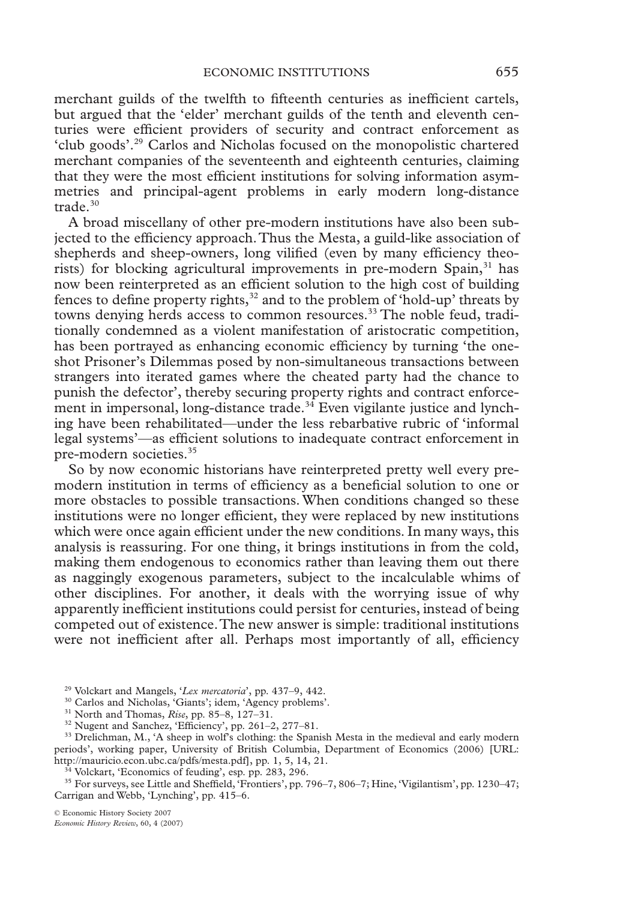merchant guilds of the twelfth to fifteenth centuries as inefficient cartels, but argued that the 'elder' merchant guilds of the tenth and eleventh centuries were efficient providers of security and contract enforcement as 'club goods'.29 Carlos and Nicholas focused on the monopolistic chartered merchant companies of the seventeenth and eighteenth centuries, claiming that they were the most efficient institutions for solving information asymmetries and principal-agent problems in early modern long-distance trade.30

A broad miscellany of other pre-modern institutions have also been subjected to the efficiency approach.Thus the Mesta, a guild-like association of shepherds and sheep-owners, long vilified (even by many efficiency theorists) for blocking agricultural improvements in pre-modern Spain,<sup>31</sup> has now been reinterpreted as an efficient solution to the high cost of building fences to define property rights, $32$  and to the problem of 'hold-up' threats by towns denying herds access to common resources.<sup>33</sup> The noble feud, traditionally condemned as a violent manifestation of aristocratic competition, has been portrayed as enhancing economic efficiency by turning 'the oneshot Prisoner's Dilemmas posed by non-simultaneous transactions between strangers into iterated games where the cheated party had the chance to punish the defector', thereby securing property rights and contract enforcement in impersonal, long-distance trade.<sup>34</sup> Even vigilante justice and lynching have been rehabilitated—under the less rebarbative rubric of 'informal legal systems'—as efficient solutions to inadequate contract enforcement in pre-modern societies.<sup>35</sup>

So by now economic historians have reinterpreted pretty well every premodern institution in terms of efficiency as a beneficial solution to one or more obstacles to possible transactions. When conditions changed so these institutions were no longer efficient, they were replaced by new institutions which were once again efficient under the new conditions. In many ways, this analysis is reassuring. For one thing, it brings institutions in from the cold, making them endogenous to economics rather than leaving them out there as naggingly exogenous parameters, subject to the incalculable whims of other disciplines. For another, it deals with the worrying issue of why apparently inefficient institutions could persist for centuries, instead of being competed out of existence.The new answer is simple: traditional institutions were not inefficient after all. Perhaps most importantly of all, efficiency

<sup>29</sup> Volckart and Mangels, '*Lex mercatoria*', pp. 437–9, 442.

<sup>30</sup> Carlos and Nicholas, 'Giants'; idem, 'Agency problems'.

<sup>33</sup> Drelichman, M., 'A sheep in wolf's clothing: the Spanish Mesta in the medieval and early modern periods', working paper, University of British Columbia, Department of Economics (2006) [URL: <http://mauricio.econ.ubc.ca/pdfs/mesta.pdf>], pp. 1, 5, 14, 21.

 $34$  Volckart, 'Economics of feuding', esp. pp. 283, 296.

<sup>35</sup> For surveys, see Little and Sheffield, 'Frontiers', pp. 796–7, 806–7; Hine, 'Vigilantism', pp. 1230–47; Carrigan and Webb, 'Lynching', pp. 415–6.

<sup>31</sup> North and Thomas, *Rise*, pp. 85–8, 127–31.

<sup>32</sup> Nugent and Sanchez, 'Efficiency', pp. 261–2, 277–81.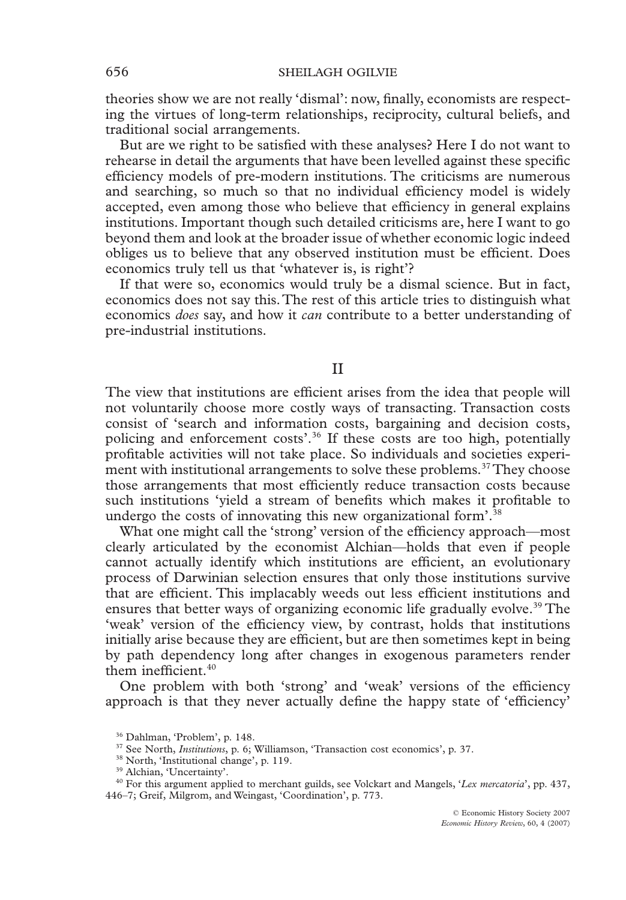theories show we are not really 'dismal': now, finally, economists are respecting the virtues of long-term relationships, reciprocity, cultural beliefs, and traditional social arrangements.

But are we right to be satisfied with these analyses? Here I do not want to rehearse in detail the arguments that have been levelled against these specific efficiency models of pre-modern institutions. The criticisms are numerous and searching, so much so that no individual efficiency model is widely accepted, even among those who believe that efficiency in general explains institutions. Important though such detailed criticisms are, here I want to go beyond them and look at the broader issue of whether economic logic indeed obliges us to believe that any observed institution must be efficient. Does economics truly tell us that 'whatever is, is right'?

If that were so, economics would truly be a dismal science. But in fact, economics does not say this.The rest of this article tries to distinguish what economics *does* say, and how it *can* contribute to a better understanding of pre-industrial institutions.

#### II

The view that institutions are efficient arises from the idea that people will not voluntarily choose more costly ways of transacting. Transaction costs consist of 'search and information costs, bargaining and decision costs, policing and enforcement costs'.<sup>36</sup> If these costs are too high, potentially profitable activities will not take place. So individuals and societies experiment with institutional arrangements to solve these problems.<sup>37</sup> They choose those arrangements that most efficiently reduce transaction costs because such institutions 'yield a stream of benefits which makes it profitable to undergo the costs of innovating this new organizational form'.<sup>38</sup>

What one might call the 'strong' version of the efficiency approach—most clearly articulated by the economist Alchian—holds that even if people cannot actually identify which institutions are efficient, an evolutionary process of Darwinian selection ensures that only those institutions survive that are efficient. This implacably weeds out less efficient institutions and ensures that better ways of organizing economic life gradually evolve.<sup>39</sup> The 'weak' version of the efficiency view, by contrast, holds that institutions initially arise because they are efficient, but are then sometimes kept in being by path dependency long after changes in exogenous parameters render them inefficient.<sup>40</sup>

One problem with both 'strong' and 'weak' versions of the efficiency approach is that they never actually define the happy state of 'efficiency'

<sup>36</sup> Dahlman, 'Problem', p. 148.

<sup>37</sup> See North, *Institutions*, p. 6; Williamson, 'Transaction cost economics', p. 37.

<sup>38</sup> North, 'Institutional change', p. 119.

<sup>&</sup>lt;sup>39</sup> Alchian, 'Uncertainty'.

<sup>40</sup> For this argument applied to merchant guilds, see Volckart and Mangels, '*Lex mercatoria*', pp. 437, 446–7; Greif, Milgrom, and Weingast, 'Coordination', p. 773.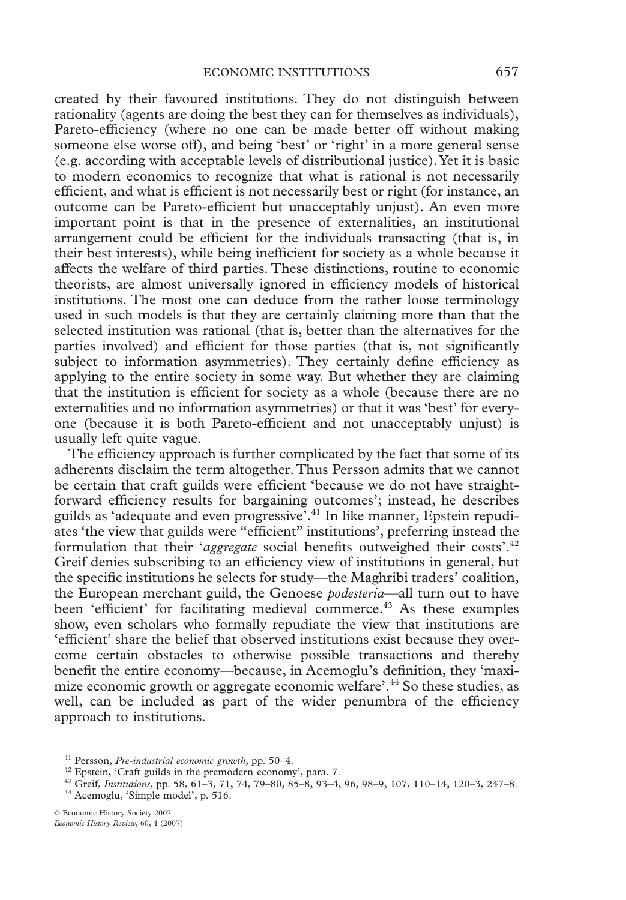created by their favoured institutions. They do not distinguish between rationality (agents are doing the best they can for themselves as individuals), Pareto-efficiency (where no one can be made better off without making someone else worse off), and being 'best' or 'right' in a more general sense (e.g. according with acceptable levels of distributional justice).Yet it is basic to modern economics to recognize that what is rational is not necessarily efficient, and what is efficient is not necessarily best or right (for instance, an outcome can be Pareto-efficient but unacceptably unjust). An even more important point is that in the presence of externalities, an institutional arrangement could be efficient for the individuals transacting (that is, in their best interests), while being inefficient for society as a whole because it affects the welfare of third parties. These distinctions, routine to economic theorists, are almost universally ignored in efficiency models of historical institutions. The most one can deduce from the rather loose terminology used in such models is that they are certainly claiming more than that the selected institution was rational (that is, better than the alternatives for the parties involved) and efficient for those parties (that is, not significantly subject to information asymmetries). They certainly define efficiency as applying to the entire society in some way. But whether they are claiming that the institution is efficient for society as a whole (because there are no externalities and no information asymmetries) or that it was 'best' for everyone (because it is both Pareto-efficient and not unacceptably unjust) is usually left quite vague.

The efficiency approach is further complicated by the fact that some of its adherents disclaim the term altogether.Thus Persson admits that we cannot be certain that craft guilds were efficient 'because we do not have straightforward efficiency results for bargaining outcomes'; instead, he describes guilds as 'adequate and even progressive'.41 In like manner, Epstein repudiates 'the view that guilds were "efficient" institutions', preferring instead the formulation that their '*aggregate* social benefits outweighed their costs'.42 Greif denies subscribing to an efficiency view of institutions in general, but the specific institutions he selects for study—the Maghribi traders' coalition, the European merchant guild, the Genoese *podesteria*—all turn out to have been 'efficient' for facilitating medieval commerce.<sup>43</sup> As these examples show, even scholars who formally repudiate the view that institutions are 'efficient' share the belief that observed institutions exist because they overcome certain obstacles to otherwise possible transactions and thereby benefit the entire economy—because, in Acemoglu's definition, they 'maximize economic growth or aggregate economic welfare'.<sup>44</sup> So these studies, as well, can be included as part of the wider penumbra of the efficiency approach to institutions.

<sup>41</sup> Persson, *Pre-industrial economic growth*, pp. 50–4.

<sup>42</sup> Epstein, 'Craft guilds in the premodern economy', para. 7.

<sup>43</sup> Greif, *Institutions*, pp. 58, 61–3, 71, 74, 79–80, 85–8, 93–4, 96, 98–9, 107, 110–14, 120–3, 247–8.

<sup>44</sup> Acemoglu, 'Simple model', p. 516.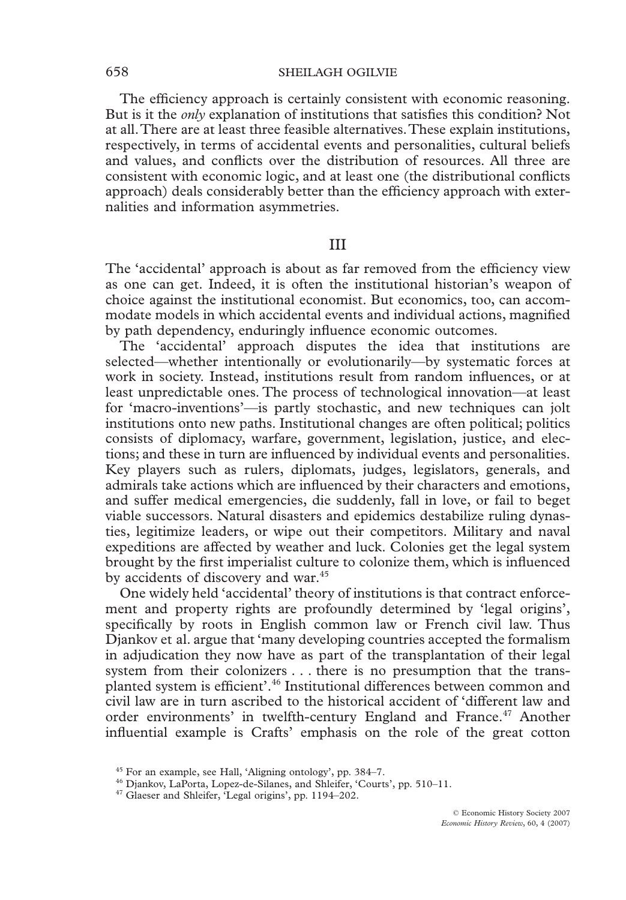The efficiency approach is certainly consistent with economic reasoning. But is it the *only* explanation of institutions that satisfies this condition? Not at all.There are at least three feasible alternatives.These explain institutions, respectively, in terms of accidental events and personalities, cultural beliefs and values, and conflicts over the distribution of resources. All three are consistent with economic logic, and at least one (the distributional conflicts approach) deals considerably better than the efficiency approach with externalities and information asymmetries.

#### III

The 'accidental' approach is about as far removed from the efficiency view as one can get. Indeed, it is often the institutional historian's weapon of choice against the institutional economist. But economics, too, can accommodate models in which accidental events and individual actions, magnified by path dependency, enduringly influence economic outcomes.

The 'accidental' approach disputes the idea that institutions are selected—whether intentionally or evolutionarily—by systematic forces at work in society. Instead, institutions result from random influences, or at least unpredictable ones. The process of technological innovation—at least for 'macro-inventions'—is partly stochastic, and new techniques can jolt institutions onto new paths. Institutional changes are often political; politics consists of diplomacy, warfare, government, legislation, justice, and elections; and these in turn are influenced by individual events and personalities. Key players such as rulers, diplomats, judges, legislators, generals, and admirals take actions which are influenced by their characters and emotions, and suffer medical emergencies, die suddenly, fall in love, or fail to beget viable successors. Natural disasters and epidemics destabilize ruling dynasties, legitimize leaders, or wipe out their competitors. Military and naval expeditions are affected by weather and luck. Colonies get the legal system brought by the first imperialist culture to colonize them, which is influenced by accidents of discovery and war.<sup>45</sup>

One widely held 'accidental' theory of institutions is that contract enforcement and property rights are profoundly determined by 'legal origins', specifically by roots in English common law or French civil law. Thus Djankov et al. argue that 'many developing countries accepted the formalism in adjudication they now have as part of the transplantation of their legal system from their colonizers... there is no presumption that the transplanted system is efficient'.46 Institutional differences between common and civil law are in turn ascribed to the historical accident of 'different law and order environments' in twelfth-century England and France.<sup>47</sup> Another influential example is Crafts' emphasis on the role of the great cotton

<sup>45</sup> For an example, see Hall, 'Aligning ontology', pp. 384–7.

<sup>46</sup> Djankov, LaPorta, Lopez-de-Silanes, and Shleifer, 'Courts', pp. 510–11.

<sup>47</sup> Glaeser and Shleifer, 'Legal origins', pp. 1194–202.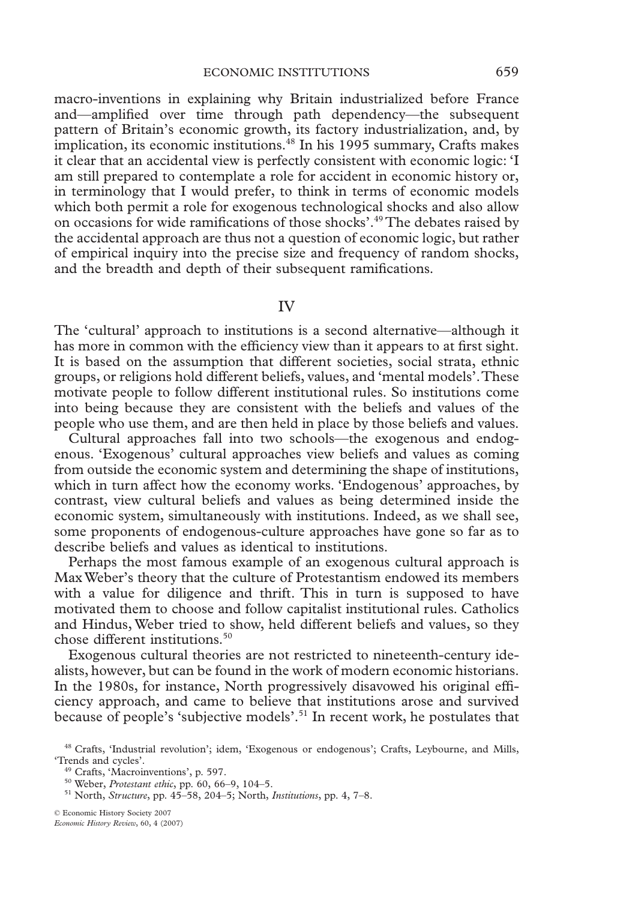macro-inventions in explaining why Britain industrialized before France and—amplified over time through path dependency—the subsequent pattern of Britain's economic growth, its factory industrialization, and, by implication, its economic institutions.<sup>48</sup> In his 1995 summary, Crafts makes it clear that an accidental view is perfectly consistent with economic logic: 'I am still prepared to contemplate a role for accident in economic history or, in terminology that I would prefer, to think in terms of economic models which both permit a role for exogenous technological shocks and also allow on occasions for wide ramifications of those shocks'.49The debates raised by the accidental approach are thus not a question of economic logic, but rather of empirical inquiry into the precise size and frequency of random shocks, and the breadth and depth of their subsequent ramifications.

IV

The 'cultural' approach to institutions is a second alternative—although it has more in common with the efficiency view than it appears to at first sight. It is based on the assumption that different societies, social strata, ethnic groups, or religions hold different beliefs, values, and 'mental models'.These motivate people to follow different institutional rules. So institutions come into being because they are consistent with the beliefs and values of the people who use them, and are then held in place by those beliefs and values.

Cultural approaches fall into two schools—the exogenous and endogenous. 'Exogenous' cultural approaches view beliefs and values as coming from outside the economic system and determining the shape of institutions, which in turn affect how the economy works. 'Endogenous' approaches, by contrast, view cultural beliefs and values as being determined inside the economic system, simultaneously with institutions. Indeed, as we shall see, some proponents of endogenous-culture approaches have gone so far as to describe beliefs and values as identical to institutions.

Perhaps the most famous example of an exogenous cultural approach is Max Weber's theory that the culture of Protestantism endowed its members with a value for diligence and thrift. This in turn is supposed to have motivated them to choose and follow capitalist institutional rules. Catholics and Hindus, Weber tried to show, held different beliefs and values, so they chose different institutions.<sup>50</sup>

Exogenous cultural theories are not restricted to nineteenth-century idealists, however, but can be found in the work of modern economic historians. In the 1980s, for instance, North progressively disavowed his original efficiency approach, and came to believe that institutions arose and survived because of people's 'subjective models'.51 In recent work, he postulates that

<sup>48</sup> Crafts, 'Industrial revolution'; idem, 'Exogenous or endogenous'; Crafts, Leybourne, and Mills, 'Trends and cycles'.

<sup>49</sup> Crafts, 'Macroinventions', p. 597.

<sup>50</sup> Weber, *Protestant ethic*, pp. 60, 66–9, 104–5.

<sup>51</sup> North, *Structure*, pp. 45–58, 204–5; North, *Institutions*, pp. 4, 7–8.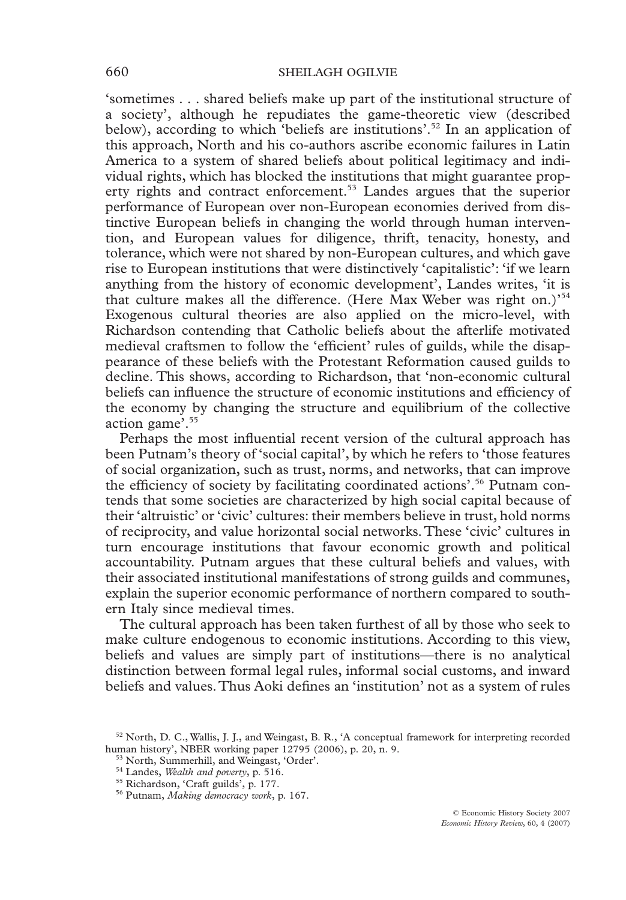'sometimes... shared beliefs make up part of the institutional structure of a society', although he repudiates the game-theoretic view (described below), according to which 'beliefs are institutions'.<sup>52</sup> In an application of this approach, North and his co-authors ascribe economic failures in Latin America to a system of shared beliefs about political legitimacy and individual rights, which has blocked the institutions that might guarantee property rights and contract enforcement.<sup>53</sup> Landes argues that the superior performance of European over non-European economies derived from distinctive European beliefs in changing the world through human intervention, and European values for diligence, thrift, tenacity, honesty, and tolerance, which were not shared by non-European cultures, and which gave rise to European institutions that were distinctively 'capitalistic': 'if we learn anything from the history of economic development', Landes writes, 'it is that culture makes all the difference. (Here Max Weber was right on.)<sup>54</sup> Exogenous cultural theories are also applied on the micro-level, with Richardson contending that Catholic beliefs about the afterlife motivated medieval craftsmen to follow the 'efficient' rules of guilds, while the disappearance of these beliefs with the Protestant Reformation caused guilds to decline. This shows, according to Richardson, that 'non-economic cultural beliefs can influence the structure of economic institutions and efficiency of the economy by changing the structure and equilibrium of the collective action game'.<sup>55</sup>

Perhaps the most influential recent version of the cultural approach has been Putnam's theory of 'social capital', by which he refers to 'those features of social organization, such as trust, norms, and networks, that can improve the efficiency of society by facilitating coordinated actions'.56 Putnam contends that some societies are characterized by high social capital because of their 'altruistic' or 'civic' cultures: their members believe in trust, hold norms of reciprocity, and value horizontal social networks.These 'civic' cultures in turn encourage institutions that favour economic growth and political accountability. Putnam argues that these cultural beliefs and values, with their associated institutional manifestations of strong guilds and communes, explain the superior economic performance of northern compared to southern Italy since medieval times.

The cultural approach has been taken furthest of all by those who seek to make culture endogenous to economic institutions. According to this view, beliefs and values are simply part of institutions—there is no analytical distinction between formal legal rules, informal social customs, and inward beliefs and values.Thus Aoki defines an 'institution' not as a system of rules

<sup>52</sup> North, D. C., Wallis, J. J., and Weingast, B. R., 'A conceptual framework for interpreting recorded human history', NBER working paper 12795 (2006), p. 20, n. 9.

<sup>53</sup> North, Summerhill, and Weingast, 'Order'.

<sup>54</sup> Landes, *Wealth and poverty*, p. 516.

<sup>55</sup> Richardson, 'Craft guilds', p. 177.

<sup>56</sup> Putnam, *Making democracy work*, p. 167.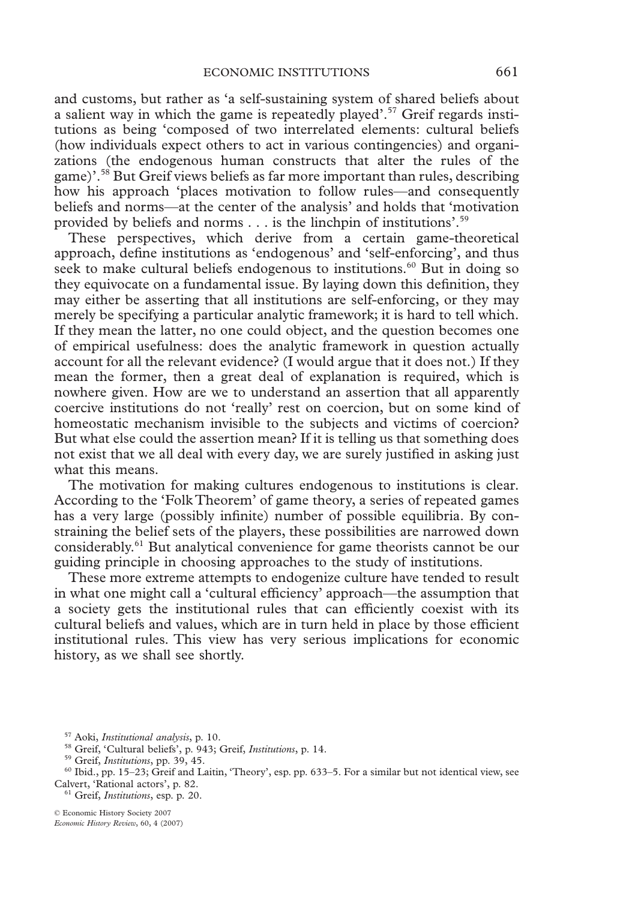and customs, but rather as 'a self-sustaining system of shared beliefs about a salient way in which the game is repeatedly played'.<sup>57</sup> Greif regards institutions as being 'composed of two interrelated elements: cultural beliefs (how individuals expect others to act in various contingencies) and organizations (the endogenous human constructs that alter the rules of the game)'.58 But Greif views beliefs as far more important than rules, describing how his approach 'places motivation to follow rules—and consequently beliefs and norms—at the center of the analysis' and holds that 'motivation provided by beliefs and norms . . . is the linchpin of institutions'.59

These perspectives, which derive from a certain game-theoretical approach, define institutions as 'endogenous' and 'self-enforcing', and thus seek to make cultural beliefs endogenous to institutions.<sup>60</sup> But in doing so they equivocate on a fundamental issue. By laying down this definition, they may either be asserting that all institutions are self-enforcing, or they may merely be specifying a particular analytic framework; it is hard to tell which. If they mean the latter, no one could object, and the question becomes one of empirical usefulness: does the analytic framework in question actually account for all the relevant evidence? (I would argue that it does not.) If they mean the former, then a great deal of explanation is required, which is nowhere given. How are we to understand an assertion that all apparently coercive institutions do not 'really' rest on coercion, but on some kind of homeostatic mechanism invisible to the subjects and victims of coercion? But what else could the assertion mean? If it is telling us that something does not exist that we all deal with every day, we are surely justified in asking just what this means.

The motivation for making cultures endogenous to institutions is clear. According to the 'Folk Theorem' of game theory, a series of repeated games has a very large (possibly infinite) number of possible equilibria. By constraining the belief sets of the players, these possibilities are narrowed down considerably.61 But analytical convenience for game theorists cannot be our guiding principle in choosing approaches to the study of institutions.

These more extreme attempts to endogenize culture have tended to result in what one might call a 'cultural efficiency' approach—the assumption that a society gets the institutional rules that can efficiently coexist with its cultural beliefs and values, which are in turn held in place by those efficient institutional rules. This view has very serious implications for economic history, as we shall see shortly.

 $^{60}$  Ibid., pp. 15–23; Greif and Laitin, 'Theory', esp. pp. 633–5. For a similar but not identical view, see Calvert, 'Rational actors', p. 82.

<sup>61</sup> Greif, *Institutions*, esp. p. 20.

<sup>57</sup> Aoki, *Institutional analysis*, p. 10.

<sup>58</sup> Greif, 'Cultural beliefs', p. 943; Greif, *Institutions*, p. 14.

<sup>59</sup> Greif, *Institutions*, pp. 39, 45.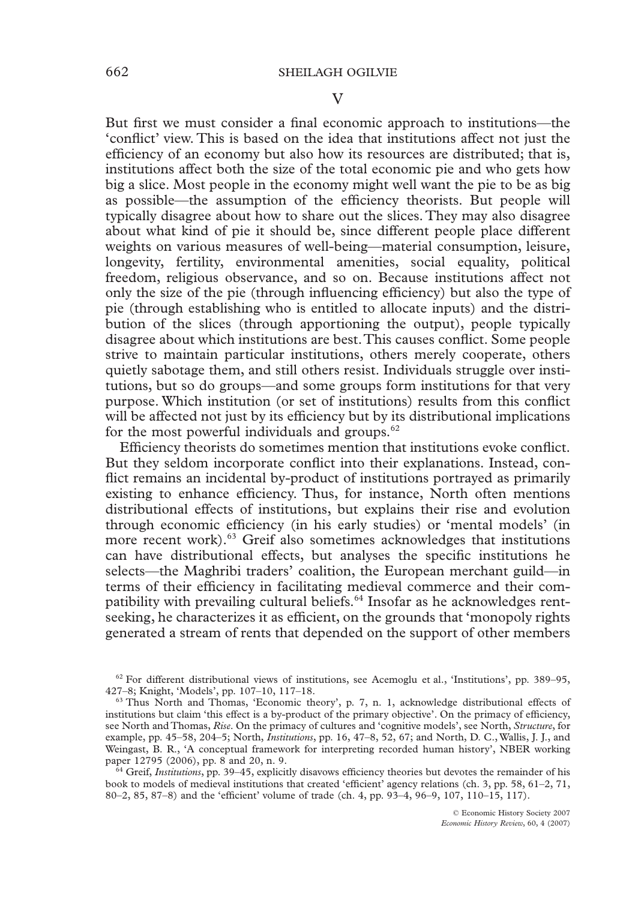But first we must consider a final economic approach to institutions—the 'conflict' view. This is based on the idea that institutions affect not just the efficiency of an economy but also how its resources are distributed; that is, institutions affect both the size of the total economic pie and who gets how big a slice. Most people in the economy might well want the pie to be as big as possible—the assumption of the efficiency theorists. But people will typically disagree about how to share out the slices. They may also disagree about what kind of pie it should be, since different people place different weights on various measures of well-being—material consumption, leisure, longevity, fertility, environmental amenities, social equality, political freedom, religious observance, and so on. Because institutions affect not only the size of the pie (through influencing efficiency) but also the type of pie (through establishing who is entitled to allocate inputs) and the distribution of the slices (through apportioning the output), people typically disagree about which institutions are best.This causes conflict. Some people strive to maintain particular institutions, others merely cooperate, others quietly sabotage them, and still others resist. Individuals struggle over institutions, but so do groups—and some groups form institutions for that very purpose. Which institution (or set of institutions) results from this conflict will be affected not just by its efficiency but by its distributional implications for the most powerful individuals and groups.<sup>62</sup>

Efficiency theorists do sometimes mention that institutions evoke conflict. But they seldom incorporate conflict into their explanations. Instead, conflict remains an incidental by-product of institutions portrayed as primarily existing to enhance efficiency. Thus, for instance, North often mentions distributional effects of institutions, but explains their rise and evolution through economic efficiency (in his early studies) or 'mental models' (in more recent work). $^{63}$  Greif also sometimes acknowledges that institutions can have distributional effects, but analyses the specific institutions he selects—the Maghribi traders' coalition, the European merchant guild—in terms of their efficiency in facilitating medieval commerce and their compatibility with prevailing cultural beliefs.<sup>64</sup> Insofar as he acknowledges rentseeking, he characterizes it as efficient, on the grounds that 'monopoly rights generated a stream of rents that depended on the support of other members

<sup>64</sup> Greif, *Institutions*, pp. 39–45, explicitly disavows efficiency theories but devotes the remainder of his book to models of medieval institutions that created 'efficient' agency relations (ch. 3, pp. 58, 61–2, 71, 80–2, 85, 87–8) and the 'efficient' volume of trade (ch. 4, pp. 93–4, 96–9, 107, 110–15, 117).

 $62$  For different distributional views of institutions, see Acemoglu et al., 'Institutions', pp. 389–95, 427–8; Knight, 'Models', pp. 107–10, 117–18.

<sup>&</sup>lt;sup>63</sup> Thus North and Thomas, 'Economic theory', p. 7, n. 1, acknowledge distributional effects of institutions but claim 'this effect is a by-product of the primary objective'. On the primacy of efficiency, see North and Thomas, *Rise*. On the primacy of cultures and 'cognitive models', see North, *Structure*, for example, pp. 45–58, 204–5; North, *Institutions*, pp. 16, 47–8, 52, 67; and North, D. C., Wallis, J. J., and Weingast, B. R., 'A conceptual framework for interpreting recorded human history', NBER working paper 12795 (2006), pp. 8 and 20, n. 9.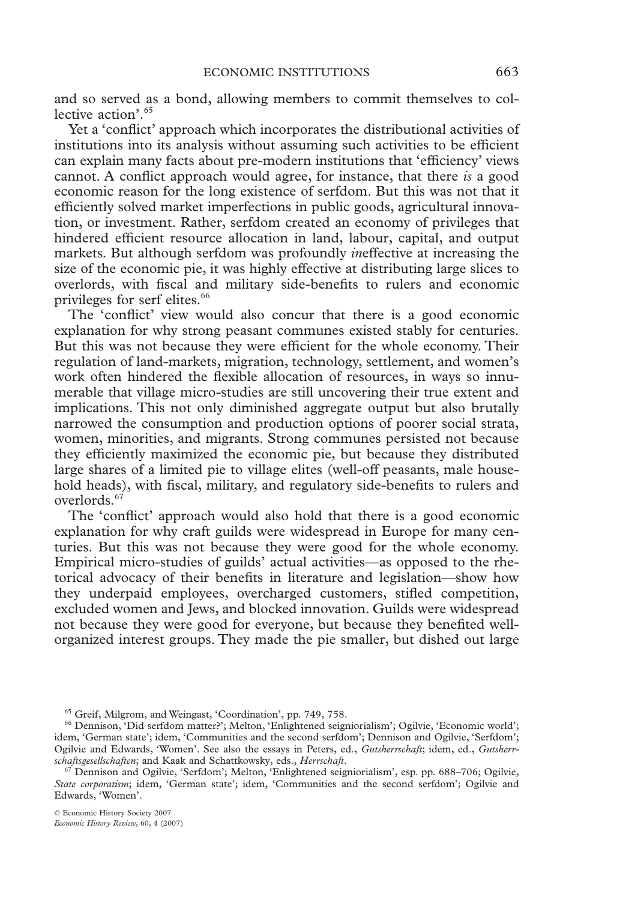and so served as a bond, allowing members to commit themselves to collective action'.<sup>65</sup>

Yet a 'conflict' approach which incorporates the distributional activities of institutions into its analysis without assuming such activities to be efficient can explain many facts about pre-modern institutions that 'efficiency' views cannot. A conflict approach would agree, for instance, that there *is* a good economic reason for the long existence of serfdom. But this was not that it efficiently solved market imperfections in public goods, agricultural innovation, or investment. Rather, serfdom created an economy of privileges that hindered efficient resource allocation in land, labour, capital, and output markets. But although serfdom was profoundly *in*effective at increasing the size of the economic pie, it was highly effective at distributing large slices to overlords, with fiscal and military side-benefits to rulers and economic privileges for serf elites.<sup>66</sup>

The 'conflict' view would also concur that there is a good economic explanation for why strong peasant communes existed stably for centuries. But this was not because they were efficient for the whole economy. Their regulation of land-markets, migration, technology, settlement, and women's work often hindered the flexible allocation of resources, in ways so innumerable that village micro-studies are still uncovering their true extent and implications. This not only diminished aggregate output but also brutally narrowed the consumption and production options of poorer social strata, women, minorities, and migrants. Strong communes persisted not because they efficiently maximized the economic pie, but because they distributed large shares of a limited pie to village elites (well-off peasants, male household heads), with fiscal, military, and regulatory side-benefits to rulers and overlords.67

The 'conflict' approach would also hold that there is a good economic explanation for why craft guilds were widespread in Europe for many centuries. But this was not because they were good for the whole economy. Empirical micro-studies of guilds' actual activities—as opposed to the rhetorical advocacy of their benefits in literature and legislation—show how they underpaid employees, overcharged customers, stifled competition, excluded women and Jews, and blocked innovation. Guilds were widespread not because they were good for everyone, but because they benefited wellorganized interest groups. They made the pie smaller, but dished out large

 $67$  Dennison and Ogilvie, 'Serfdom'; Melton, 'Enlightened seigniorialism', esp. pp. 688–706; Ogilvie, *State corporatism*; idem, 'German state'; idem, 'Communities and the second serfdom'; Ogilvie and Edwards, 'Women'.

<sup>65</sup> Greif, Milgrom, and Weingast, 'Coordination', pp. 749, 758.

<sup>66</sup> Dennison, 'Did serfdom matter?'; Melton, 'Enlightened seigniorialism'; Ogilvie, 'Economic world'; idem, 'German state'; idem, 'Communities and the second serfdom'; Dennison and Ogilvie, 'Serfdom'; Ogilvie and Edwards, 'Women'. See also the essays in Peters, ed., *Gutsherrschaft*; idem, ed., *Gutsherrschaftsgesellschaften*; and Kaak and Schattkowsky, eds., *Herrschaft*.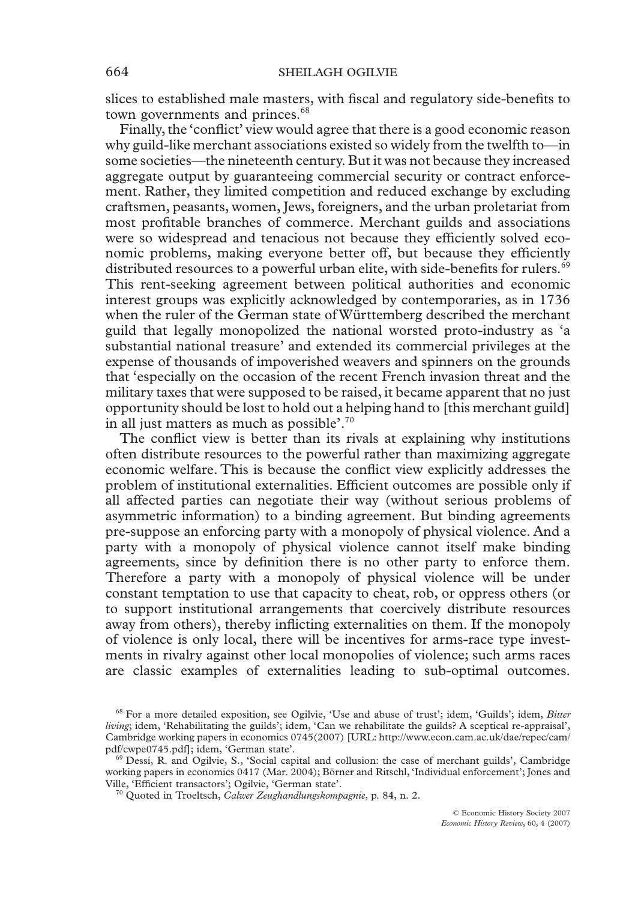slices to established male masters, with fiscal and regulatory side-benefits to town governments and princes.<sup>68</sup>

Finally, the 'conflict' view would agree that there is a good economic reason why guild-like merchant associations existed so widely from the twelfth to—in some societies—the nineteenth century. But it was not because they increased aggregate output by guaranteeing commercial security or contract enforcement. Rather, they limited competition and reduced exchange by excluding craftsmen, peasants, women, Jews, foreigners, and the urban proletariat from most profitable branches of commerce. Merchant guilds and associations were so widespread and tenacious not because they efficiently solved economic problems, making everyone better off, but because they efficiently distributed resources to a powerful urban elite, with side-benefits for rulers.<sup>69</sup> This rent-seeking agreement between political authorities and economic interest groups was explicitly acknowledged by contemporaries, as in 1736 when the ruler of the German state ofWürttemberg described the merchant guild that legally monopolized the national worsted proto-industry as 'a substantial national treasure' and extended its commercial privileges at the expense of thousands of impoverished weavers and spinners on the grounds that 'especially on the occasion of the recent French invasion threat and the military taxes that were supposed to be raised, it became apparent that no just opportunity should be lost to hold out a helping hand to [this merchant guild] in all just matters as much as possible'.70

The conflict view is better than its rivals at explaining why institutions often distribute resources to the powerful rather than maximizing aggregate economic welfare. This is because the conflict view explicitly addresses the problem of institutional externalities. Efficient outcomes are possible only if all affected parties can negotiate their way (without serious problems of asymmetric information) to a binding agreement. But binding agreements pre-suppose an enforcing party with a monopoly of physical violence. And a party with a monopoly of physical violence cannot itself make binding agreements, since by definition there is no other party to enforce them. Therefore a party with a monopoly of physical violence will be under constant temptation to use that capacity to cheat, rob, or oppress others (or to support institutional arrangements that coercively distribute resources away from others), thereby inflicting externalities on them. If the monopoly of violence is only local, there will be incentives for arms-race type investments in rivalry against other local monopolies of violence; such arms races are classic examples of externalities leading to sub-optimal outcomes.

<sup>68</sup> For a more detailed exposition, see Ogilvie, 'Use and abuse of trust'; idem, 'Guilds'; idem, *Bitter living*; idem, 'Rehabilitating the guilds'; idem, 'Can we rehabilitate the guilds? A sceptical re-appraisal', Cambridge working papers in economics 0745(2007) [URL: [http://www.econ.cam.ac.uk/dae/repec/cam/](http://www.econ.cam.ac.uk/dae/repec/cam) pdf/cwpe0745.pdf]; idem, 'German state'.

<sup>69</sup> Dessí, R. and Ogilvie, S., 'Social capital and collusion: the case of merchant guilds', Cambridge working papers in economics 0417 (Mar. 2004); Börner and Ritschl, 'Individual enforcement'; Jones and Ville, 'Efficient transactors'; Ogilvie, 'German state'.

<sup>70</sup> Quoted in Troeltsch, *Calwer Zeughandlungskompagnie*, p. 84, n. 2.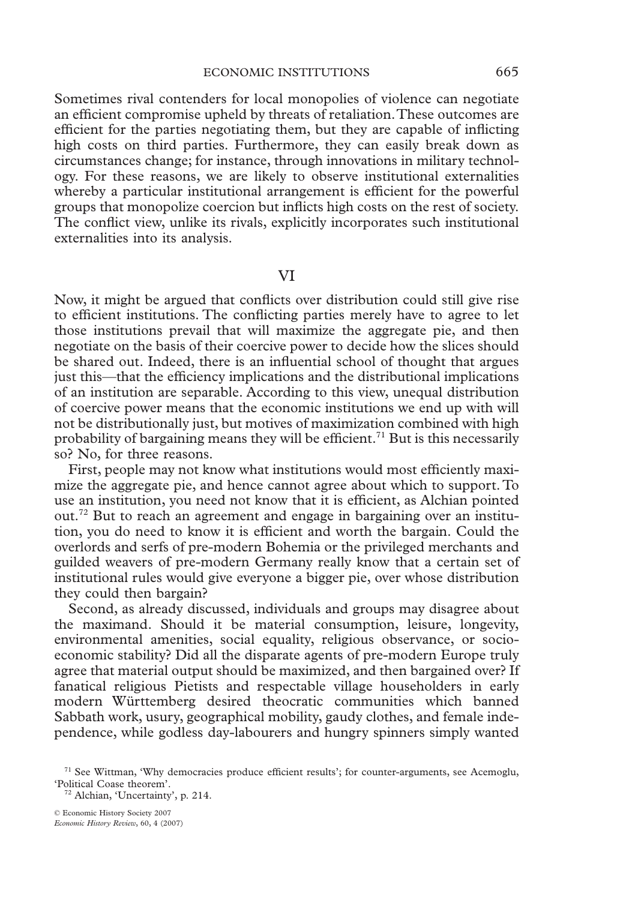Sometimes rival contenders for local monopolies of violence can negotiate an efficient compromise upheld by threats of retaliation.These outcomes are efficient for the parties negotiating them, but they are capable of inflicting high costs on third parties. Furthermore, they can easily break down as circumstances change; for instance, through innovations in military technology. For these reasons, we are likely to observe institutional externalities whereby a particular institutional arrangement is efficient for the powerful groups that monopolize coercion but inflicts high costs on the rest of society. The conflict view, unlike its rivals, explicitly incorporates such institutional externalities into its analysis.

VI

Now, it might be argued that conflicts over distribution could still give rise to efficient institutions. The conflicting parties merely have to agree to let those institutions prevail that will maximize the aggregate pie, and then negotiate on the basis of their coercive power to decide how the slices should be shared out. Indeed, there is an influential school of thought that argues just this—that the efficiency implications and the distributional implications of an institution are separable. According to this view, unequal distribution of coercive power means that the economic institutions we end up with will not be distributionally just, but motives of maximization combined with high probability of bargaining means they will be efficient.<sup>71</sup> But is this necessarily so? No, for three reasons.

First, people may not know what institutions would most efficiently maximize the aggregate pie, and hence cannot agree about which to support. To use an institution, you need not know that it is efficient, as Alchian pointed out.<sup>72</sup> But to reach an agreement and engage in bargaining over an institution, you do need to know it is efficient and worth the bargain. Could the overlords and serfs of pre-modern Bohemia or the privileged merchants and guilded weavers of pre-modern Germany really know that a certain set of institutional rules would give everyone a bigger pie, over whose distribution they could then bargain?

Second, as already discussed, individuals and groups may disagree about the maximand. Should it be material consumption, leisure, longevity, environmental amenities, social equality, religious observance, or socioeconomic stability? Did all the disparate agents of pre-modern Europe truly agree that material output should be maximized, and then bargained over? If fanatical religious Pietists and respectable village householders in early modern Württemberg desired theocratic communities which banned Sabbath work, usury, geographical mobility, gaudy clothes, and female independence, while godless day-labourers and hungry spinners simply wanted

 $71$  See Wittman, 'Why democracies produce efficient results'; for counter-arguments, see Acemoglu, 'Political Coase theorem'.

<sup>72</sup> Alchian, 'Uncertainty', p. 214.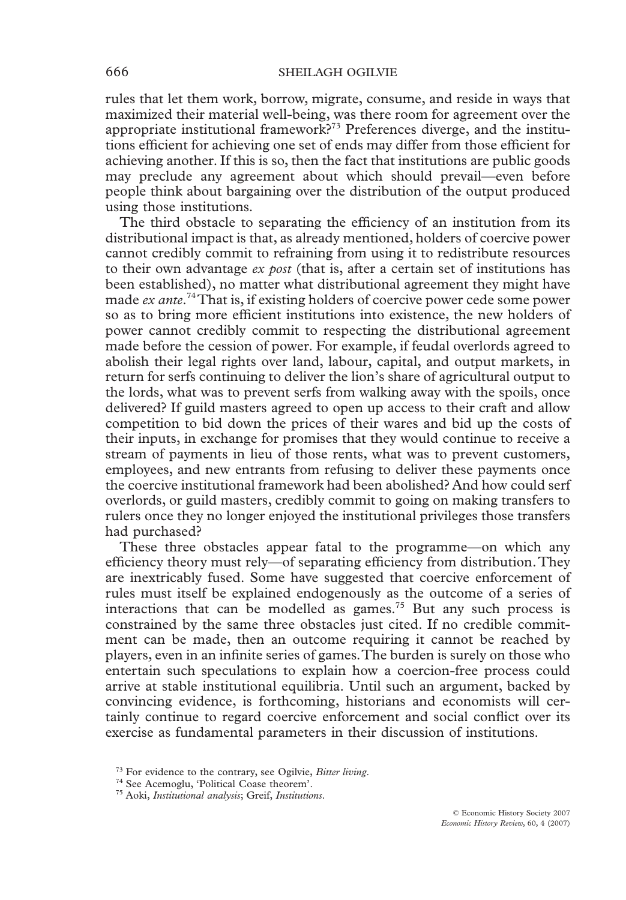rules that let them work, borrow, migrate, consume, and reside in ways that maximized their material well-being, was there room for agreement over the appropriate institutional framework?73 Preferences diverge, and the institutions efficient for achieving one set of ends may differ from those efficient for achieving another. If this is so, then the fact that institutions are public goods may preclude any agreement about which should prevail—even before people think about bargaining over the distribution of the output produced using those institutions.

The third obstacle to separating the efficiency of an institution from its distributional impact is that, as already mentioned, holders of coercive power cannot credibly commit to refraining from using it to redistribute resources to their own advantage *ex post* (that is, after a certain set of institutions has been established), no matter what distributional agreement they might have made *ex ante*. 74That is, if existing holders of coercive power cede some power so as to bring more efficient institutions into existence, the new holders of power cannot credibly commit to respecting the distributional agreement made before the cession of power. For example, if feudal overlords agreed to abolish their legal rights over land, labour, capital, and output markets, in return for serfs continuing to deliver the lion's share of agricultural output to the lords, what was to prevent serfs from walking away with the spoils, once delivered? If guild masters agreed to open up access to their craft and allow competition to bid down the prices of their wares and bid up the costs of their inputs, in exchange for promises that they would continue to receive a stream of payments in lieu of those rents, what was to prevent customers, employees, and new entrants from refusing to deliver these payments once the coercive institutional framework had been abolished? And how could serf overlords, or guild masters, credibly commit to going on making transfers to rulers once they no longer enjoyed the institutional privileges those transfers had purchased?

These three obstacles appear fatal to the programme—on which any efficiency theory must rely—of separating efficiency from distribution.They are inextricably fused. Some have suggested that coercive enforcement of rules must itself be explained endogenously as the outcome of a series of interactions that can be modelled as games.<sup>75</sup> But any such process is constrained by the same three obstacles just cited. If no credible commitment can be made, then an outcome requiring it cannot be reached by players, even in an infinite series of games.The burden is surely on those who entertain such speculations to explain how a coercion-free process could arrive at stable institutional equilibria. Until such an argument, backed by convincing evidence, is forthcoming, historians and economists will certainly continue to regard coercive enforcement and social conflict over its exercise as fundamental parameters in their discussion of institutions.

<sup>73</sup> For evidence to the contrary, see Ogilvie, *Bitter living*.

<sup>74</sup> See Acemoglu, 'Political Coase theorem'.

<sup>75</sup> Aoki, *Institutional analysis*; Greif, *Institutions*.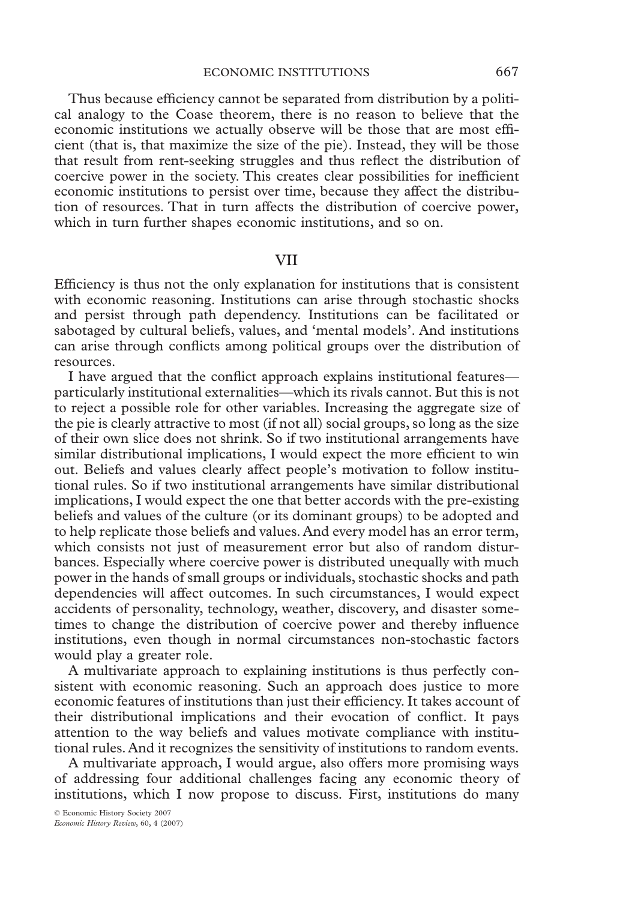Thus because efficiency cannot be separated from distribution by a political analogy to the Coase theorem, there is no reason to believe that the economic institutions we actually observe will be those that are most efficient (that is, that maximize the size of the pie). Instead, they will be those that result from rent-seeking struggles and thus reflect the distribution of coercive power in the society. This creates clear possibilities for inefficient economic institutions to persist over time, because they affect the distribution of resources. That in turn affects the distribution of coercive power, which in turn further shapes economic institutions, and so on.

## VII

Efficiency is thus not the only explanation for institutions that is consistent with economic reasoning. Institutions can arise through stochastic shocks and persist through path dependency. Institutions can be facilitated or sabotaged by cultural beliefs, values, and 'mental models'. And institutions can arise through conflicts among political groups over the distribution of resources.

I have argued that the conflict approach explains institutional features particularly institutional externalities—which its rivals cannot. But this is not to reject a possible role for other variables. Increasing the aggregate size of the pie is clearly attractive to most (if not all) social groups, so long as the size of their own slice does not shrink. So if two institutional arrangements have similar distributional implications, I would expect the more efficient to win out. Beliefs and values clearly affect people's motivation to follow institutional rules. So if two institutional arrangements have similar distributional implications, I would expect the one that better accords with the pre-existing beliefs and values of the culture (or its dominant groups) to be adopted and to help replicate those beliefs and values. And every model has an error term, which consists not just of measurement error but also of random disturbances. Especially where coercive power is distributed unequally with much power in the hands of small groups or individuals, stochastic shocks and path dependencies will affect outcomes. In such circumstances, I would expect accidents of personality, technology, weather, discovery, and disaster sometimes to change the distribution of coercive power and thereby influence institutions, even though in normal circumstances non-stochastic factors would play a greater role.

A multivariate approach to explaining institutions is thus perfectly consistent with economic reasoning. Such an approach does justice to more economic features of institutions than just their efficiency. It takes account of their distributional implications and their evocation of conflict. It pays attention to the way beliefs and values motivate compliance with institutional rules. And it recognizes the sensitivity of institutions to random events.

A multivariate approach, I would argue, also offers more promising ways of addressing four additional challenges facing any economic theory of institutions, which I now propose to discuss. First, institutions do many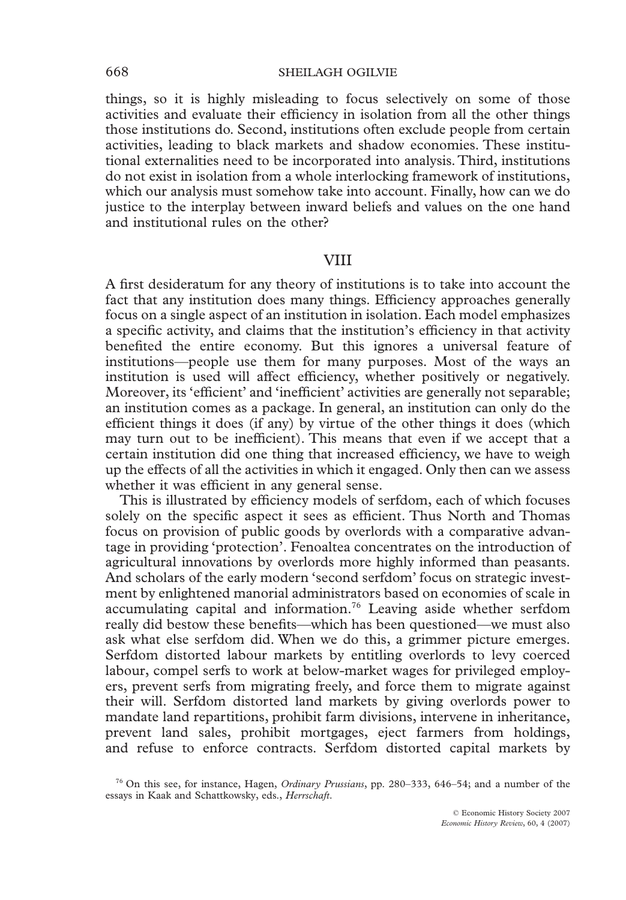things, so it is highly misleading to focus selectively on some of those activities and evaluate their efficiency in isolation from all the other things those institutions do. Second, institutions often exclude people from certain activities, leading to black markets and shadow economies. These institutional externalities need to be incorporated into analysis. Third, institutions do not exist in isolation from a whole interlocking framework of institutions, which our analysis must somehow take into account. Finally, how can we do justice to the interplay between inward beliefs and values on the one hand and institutional rules on the other?

# **VIII**

A first desideratum for any theory of institutions is to take into account the fact that any institution does many things. Efficiency approaches generally focus on a single aspect of an institution in isolation. Each model emphasizes a specific activity, and claims that the institution's efficiency in that activity benefited the entire economy. But this ignores a universal feature of institutions—people use them for many purposes. Most of the ways an institution is used will affect efficiency, whether positively or negatively. Moreover, its 'efficient' and 'inefficient' activities are generally not separable; an institution comes as a package. In general, an institution can only do the efficient things it does (if any) by virtue of the other things it does (which may turn out to be inefficient). This means that even if we accept that a certain institution did one thing that increased efficiency, we have to weigh up the effects of all the activities in which it engaged. Only then can we assess whether it was efficient in any general sense.

This is illustrated by efficiency models of serfdom, each of which focuses solely on the specific aspect it sees as efficient. Thus North and Thomas focus on provision of public goods by overlords with a comparative advantage in providing 'protection'. Fenoaltea concentrates on the introduction of agricultural innovations by overlords more highly informed than peasants. And scholars of the early modern 'second serfdom' focus on strategic investment by enlightened manorial administrators based on economies of scale in accumulating capital and information.<sup>76</sup> Leaving aside whether serfdom really did bestow these benefits—which has been questioned—we must also ask what else serfdom did. When we do this, a grimmer picture emerges. Serfdom distorted labour markets by entitling overlords to levy coerced labour, compel serfs to work at below-market wages for privileged employers, prevent serfs from migrating freely, and force them to migrate against their will. Serfdom distorted land markets by giving overlords power to mandate land repartitions, prohibit farm divisions, intervene in inheritance, prevent land sales, prohibit mortgages, eject farmers from holdings, and refuse to enforce contracts. Serfdom distorted capital markets by

<sup>76</sup> On this see, for instance, Hagen, *Ordinary Prussians*, pp. 280–333, 646–54; and a number of the essays in Kaak and Schattkowsky, eds., *Herrschaft*.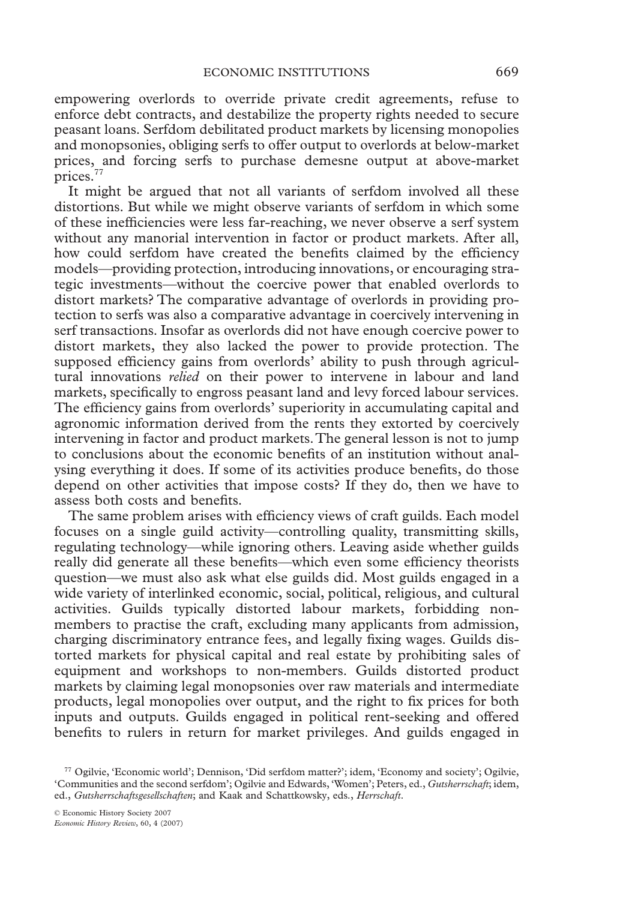empowering overlords to override private credit agreements, refuse to enforce debt contracts, and destabilize the property rights needed to secure peasant loans. Serfdom debilitated product markets by licensing monopolies and monopsonies, obliging serfs to offer output to overlords at below-market prices, and forcing serfs to purchase demesne output at above-market prices.77

It might be argued that not all variants of serfdom involved all these distortions. But while we might observe variants of serfdom in which some of these inefficiencies were less far-reaching, we never observe a serf system without any manorial intervention in factor or product markets. After all, how could serfdom have created the benefits claimed by the efficiency models—providing protection, introducing innovations, or encouraging strategic investments—without the coercive power that enabled overlords to distort markets? The comparative advantage of overlords in providing protection to serfs was also a comparative advantage in coercively intervening in serf transactions. Insofar as overlords did not have enough coercive power to distort markets, they also lacked the power to provide protection. The supposed efficiency gains from overlords' ability to push through agricultural innovations *relied* on their power to intervene in labour and land markets, specifically to engross peasant land and levy forced labour services. The efficiency gains from overlords' superiority in accumulating capital and agronomic information derived from the rents they extorted by coercively intervening in factor and product markets.The general lesson is not to jump to conclusions about the economic benefits of an institution without analysing everything it does. If some of its activities produce benefits, do those depend on other activities that impose costs? If they do, then we have to assess both costs and benefits.

The same problem arises with efficiency views of craft guilds. Each model focuses on a single guild activity—controlling quality, transmitting skills, regulating technology—while ignoring others. Leaving aside whether guilds really did generate all these benefits—which even some efficiency theorists question—we must also ask what else guilds did. Most guilds engaged in a wide variety of interlinked economic, social, political, religious, and cultural activities. Guilds typically distorted labour markets, forbidding nonmembers to practise the craft, excluding many applicants from admission, charging discriminatory entrance fees, and legally fixing wages. Guilds distorted markets for physical capital and real estate by prohibiting sales of equipment and workshops to non-members. Guilds distorted product markets by claiming legal monopsonies over raw materials and intermediate products, legal monopolies over output, and the right to fix prices for both inputs and outputs. Guilds engaged in political rent-seeking and offered benefits to rulers in return for market privileges. And guilds engaged in

<sup>77</sup> Ogilvie, 'Economic world'; Dennison, 'Did serfdom matter?'; idem, 'Economy and society'; Ogilvie, 'Communities and the second serfdom'; Ogilvie and Edwards, 'Women'; Peters, ed., *Gutsherrschaft*; idem, ed., *Gutsherrschaftsgesellschaften*; and Kaak and Schattkowsky, eds., *Herrschaft*.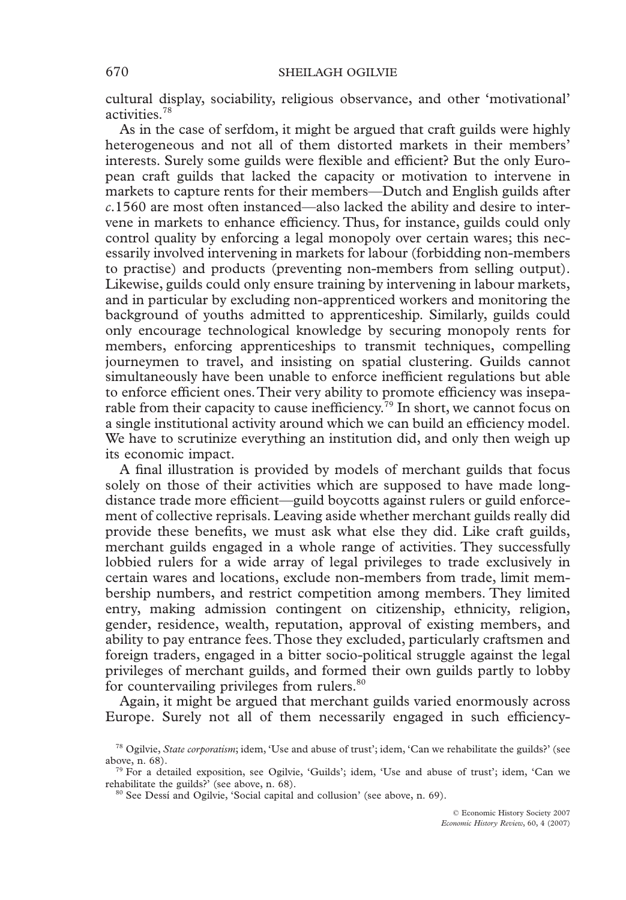cultural display, sociability, religious observance, and other 'motivational' activities.78

As in the case of serfdom, it might be argued that craft guilds were highly heterogeneous and not all of them distorted markets in their members' interests. Surely some guilds were flexible and efficient? But the only European craft guilds that lacked the capacity or motivation to intervene in markets to capture rents for their members—Dutch and English guilds after *c*.1560 are most often instanced—also lacked the ability and desire to intervene in markets to enhance efficiency. Thus, for instance, guilds could only control quality by enforcing a legal monopoly over certain wares; this necessarily involved intervening in markets for labour (forbidding non-members to practise) and products (preventing non-members from selling output). Likewise, guilds could only ensure training by intervening in labour markets, and in particular by excluding non-apprenticed workers and monitoring the background of youths admitted to apprenticeship. Similarly, guilds could only encourage technological knowledge by securing monopoly rents for members, enforcing apprenticeships to transmit techniques, compelling journeymen to travel, and insisting on spatial clustering. Guilds cannot simultaneously have been unable to enforce inefficient regulations but able to enforce efficient ones.Their very ability to promote efficiency was inseparable from their capacity to cause inefficiency.<sup>79</sup> In short, we cannot focus on a single institutional activity around which we can build an efficiency model. We have to scrutinize everything an institution did, and only then weigh up its economic impact.

A final illustration is provided by models of merchant guilds that focus solely on those of their activities which are supposed to have made longdistance trade more efficient—guild boycotts against rulers or guild enforcement of collective reprisals. Leaving aside whether merchant guilds really did provide these benefits, we must ask what else they did. Like craft guilds, merchant guilds engaged in a whole range of activities. They successfully lobbied rulers for a wide array of legal privileges to trade exclusively in certain wares and locations, exclude non-members from trade, limit membership numbers, and restrict competition among members. They limited entry, making admission contingent on citizenship, ethnicity, religion, gender, residence, wealth, reputation, approval of existing members, and ability to pay entrance fees.Those they excluded, particularly craftsmen and foreign traders, engaged in a bitter socio-political struggle against the legal privileges of merchant guilds, and formed their own guilds partly to lobby for countervailing privileges from rulers.<sup>80</sup>

Again, it might be argued that merchant guilds varied enormously across Europe. Surely not all of them necessarily engaged in such efficiency-

<sup>78</sup> Ogilvie, *State corporatism*; idem, 'Use and abuse of trust'; idem, 'Can we rehabilitate the guilds?' (see above, n. 68).

<sup>79</sup> For a detailed exposition, see Ogilvie, 'Guilds'; idem, 'Use and abuse of trust'; idem, 'Can we rehabilitate the guilds?' (see above, n. 68).

<sup>80</sup> See Dessí and Ogilvie, 'Social capital and collusion' (see above, n. 69).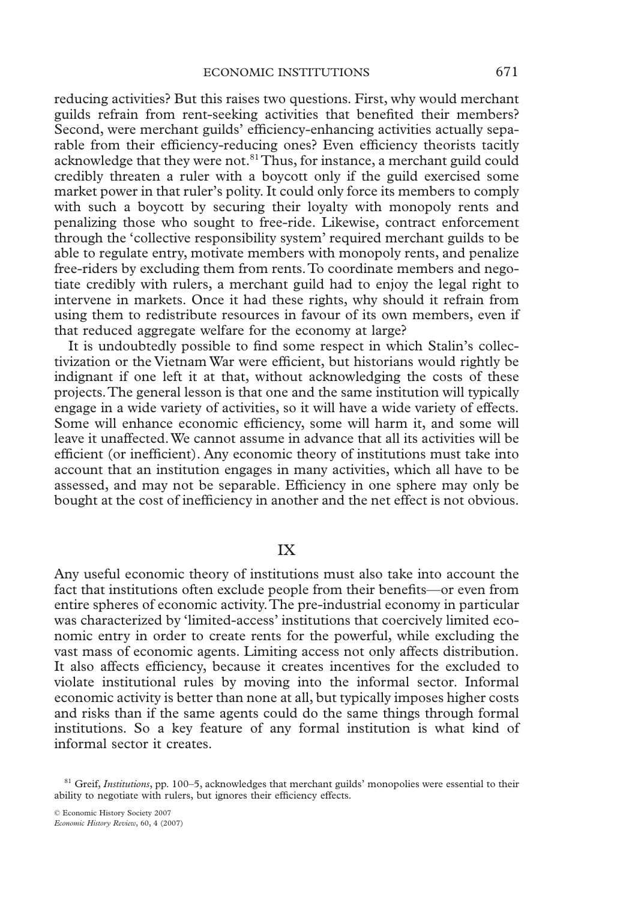reducing activities? But this raises two questions. First, why would merchant guilds refrain from rent-seeking activities that benefited their members? Second, were merchant guilds' efficiency-enhancing activities actually separable from their efficiency-reducing ones? Even efficiency theorists tacitly acknowledge that they were not.<sup>81</sup>Thus, for instance, a merchant guild could credibly threaten a ruler with a boycott only if the guild exercised some market power in that ruler's polity. It could only force its members to comply with such a boycott by securing their loyalty with monopoly rents and penalizing those who sought to free-ride. Likewise, contract enforcement through the 'collective responsibility system' required merchant guilds to be able to regulate entry, motivate members with monopoly rents, and penalize free-riders by excluding them from rents.To coordinate members and negotiate credibly with rulers, a merchant guild had to enjoy the legal right to intervene in markets. Once it had these rights, why should it refrain from using them to redistribute resources in favour of its own members, even if that reduced aggregate welfare for the economy at large?

It is undoubtedly possible to find some respect in which Stalin's collectivization or the Vietnam War were efficient, but historians would rightly be indignant if one left it at that, without acknowledging the costs of these projects.The general lesson is that one and the same institution will typically engage in a wide variety of activities, so it will have a wide variety of effects. Some will enhance economic efficiency, some will harm it, and some will leave it unaffected.We cannot assume in advance that all its activities will be efficient (or inefficient). Any economic theory of institutions must take into account that an institution engages in many activities, which all have to be assessed, and may not be separable. Efficiency in one sphere may only be bought at the cost of inefficiency in another and the net effect is not obvious.

## IX

Any useful economic theory of institutions must also take into account the fact that institutions often exclude people from their benefits—or even from entire spheres of economic activity.The pre-industrial economy in particular was characterized by 'limited-access' institutions that coercively limited economic entry in order to create rents for the powerful, while excluding the vast mass of economic agents. Limiting access not only affects distribution. It also affects efficiency, because it creates incentives for the excluded to violate institutional rules by moving into the informal sector. Informal economic activity is better than none at all, but typically imposes higher costs and risks than if the same agents could do the same things through formal institutions. So a key feature of any formal institution is what kind of informal sector it creates.

<sup>81</sup> Greif, *Institutions*, pp. 100–5, acknowledges that merchant guilds' monopolies were essential to their ability to negotiate with rulers, but ignores their efficiency effects.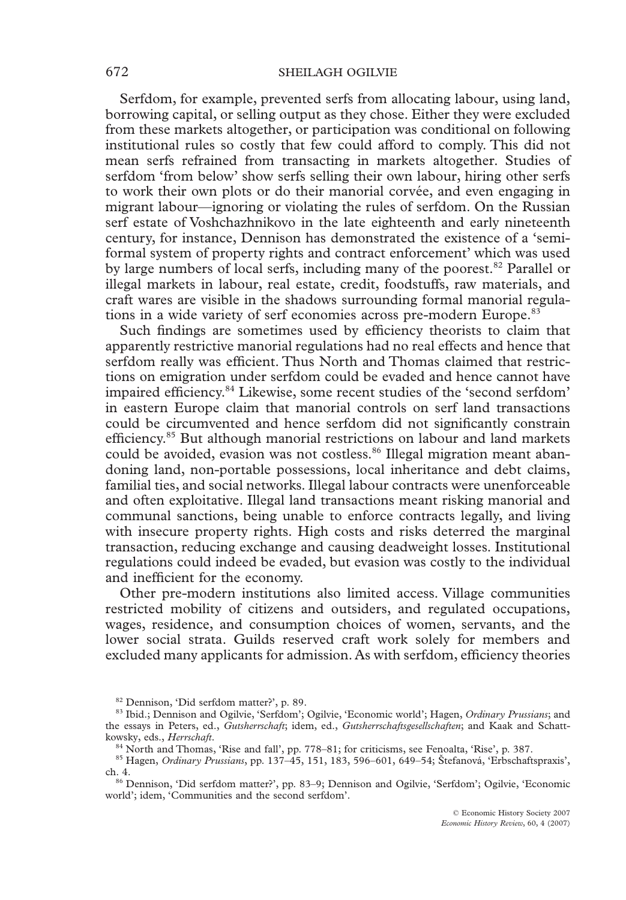Serfdom, for example, prevented serfs from allocating labour, using land, borrowing capital, or selling output as they chose. Either they were excluded from these markets altogether, or participation was conditional on following institutional rules so costly that few could afford to comply. This did not mean serfs refrained from transacting in markets altogether. Studies of serfdom 'from below' show serfs selling their own labour, hiring other serfs to work their own plots or do their manorial corvée, and even engaging in migrant labour—ignoring or violating the rules of serfdom. On the Russian serf estate of Voshchazhnikovo in the late eighteenth and early nineteenth century, for instance, Dennison has demonstrated the existence of a 'semiformal system of property rights and contract enforcement' which was used by large numbers of local serfs, including many of the poorest.<sup>82</sup> Parallel or illegal markets in labour, real estate, credit, foodstuffs, raw materials, and craft wares are visible in the shadows surrounding formal manorial regulations in a wide variety of serf economies across pre-modern Europe.<sup>83</sup>

Such findings are sometimes used by efficiency theorists to claim that apparently restrictive manorial regulations had no real effects and hence that serfdom really was efficient. Thus North and Thomas claimed that restrictions on emigration under serfdom could be evaded and hence cannot have impaired efficiency.84 Likewise, some recent studies of the 'second serfdom' in eastern Europe claim that manorial controls on serf land transactions could be circumvented and hence serfdom did not significantly constrain efficiency.85 But although manorial restrictions on labour and land markets could be avoided, evasion was not costless.<sup>86</sup> Illegal migration meant abandoning land, non-portable possessions, local inheritance and debt claims, familial ties, and social networks. Illegal labour contracts were unenforceable and often exploitative. Illegal land transactions meant risking manorial and communal sanctions, being unable to enforce contracts legally, and living with insecure property rights. High costs and risks deterred the marginal transaction, reducing exchange and causing deadweight losses. Institutional regulations could indeed be evaded, but evasion was costly to the individual and inefficient for the economy.

Other pre-modern institutions also limited access. Village communities restricted mobility of citizens and outsiders, and regulated occupations, wages, residence, and consumption choices of women, servants, and the lower social strata. Guilds reserved craft work solely for members and excluded many applicants for admission. As with serfdom, efficiency theories

<sup>82</sup> Dennison, 'Did serfdom matter?', p. 89.

<sup>83</sup> Ibid.; Dennison and Ogilvie, 'Serfdom'; Ogilvie, 'Economic world'; Hagen, *Ordinary Prussians*; and the essays in Peters, ed., *Gutsherrschaft*; idem, ed., *Gutsherrschaftsgesellschaften*; and Kaak and Schattkowsky, eds., *Herrschaft*.

<sup>84</sup> North and Thomas, 'Rise and fall', pp. 778–81; for criticisms, see Fenoalta, 'Rise', p. 387.

<sup>85</sup> Hagen, *Ordinary Prussians*, pp. 137–45, 151, 183, 596–601, 649–54; Štefanová, 'Erbschaftspraxis', ch. 4.

<sup>86</sup> Dennison, 'Did serfdom matter?', pp. 83–9; Dennison and Ogilvie, 'Serfdom'; Ogilvie, 'Economic world'; idem, 'Communities and the second serfdom'.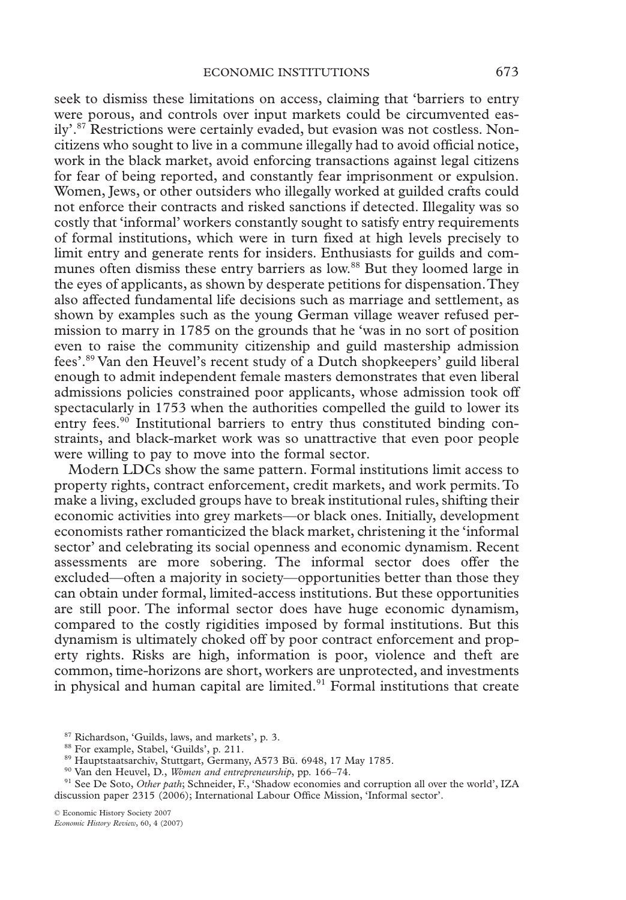seek to dismiss these limitations on access, claiming that 'barriers to entry were porous, and controls over input markets could be circumvented easily'.<sup>87</sup> Restrictions were certainly evaded, but evasion was not costless. Noncitizens who sought to live in a commune illegally had to avoid official notice, work in the black market, avoid enforcing transactions against legal citizens for fear of being reported, and constantly fear imprisonment or expulsion. Women, Jews, or other outsiders who illegally worked at guilded crafts could not enforce their contracts and risked sanctions if detected. Illegality was so costly that 'informal' workers constantly sought to satisfy entry requirements of formal institutions, which were in turn fixed at high levels precisely to limit entry and generate rents for insiders. Enthusiasts for guilds and communes often dismiss these entry barriers as low.<sup>88</sup> But they loomed large in the eyes of applicants, as shown by desperate petitions for dispensation.They also affected fundamental life decisions such as marriage and settlement, as shown by examples such as the young German village weaver refused permission to marry in 1785 on the grounds that he 'was in no sort of position even to raise the community citizenship and guild mastership admission fees'.89 Van den Heuvel's recent study of a Dutch shopkeepers' guild liberal enough to admit independent female masters demonstrates that even liberal admissions policies constrained poor applicants, whose admission took off spectacularly in 1753 when the authorities compelled the guild to lower its entry fees.<sup>90</sup> Institutional barriers to entry thus constituted binding constraints, and black-market work was so unattractive that even poor people were willing to pay to move into the formal sector.

Modern LDCs show the same pattern. Formal institutions limit access to property rights, contract enforcement, credit markets, and work permits.To make a living, excluded groups have to break institutional rules, shifting their economic activities into grey markets—or black ones. Initially, development economists rather romanticized the black market, christening it the 'informal sector' and celebrating its social openness and economic dynamism. Recent assessments are more sobering. The informal sector does offer the excluded—often a majority in society—opportunities better than those they can obtain under formal, limited-access institutions. But these opportunities are still poor. The informal sector does have huge economic dynamism, compared to the costly rigidities imposed by formal institutions. But this dynamism is ultimately choked off by poor contract enforcement and property rights. Risks are high, information is poor, violence and theft are common, time-horizons are short, workers are unprotected, and investments in physical and human capital are limited.<sup>91</sup> Formal institutions that create

<sup>90</sup> Van den Heuvel, D., *Women and entrepreneurship*, pp. 166–74.

<sup>87</sup> Richardson, 'Guilds, laws, and markets', p. 3.

<sup>88</sup> For example, Stabel, 'Guilds', p. 211.

<sup>89</sup> Hauptstaatsarchiv, Stuttgart, Germany, A573 Bü. 6948, 17 May 1785.

<sup>&</sup>lt;sup>91</sup> See De Soto, *Other path*; Schneider, F., 'Shadow economies and corruption all over the world', IZA discussion paper 2315 (2006); International Labour Office Mission, 'Informal sector'.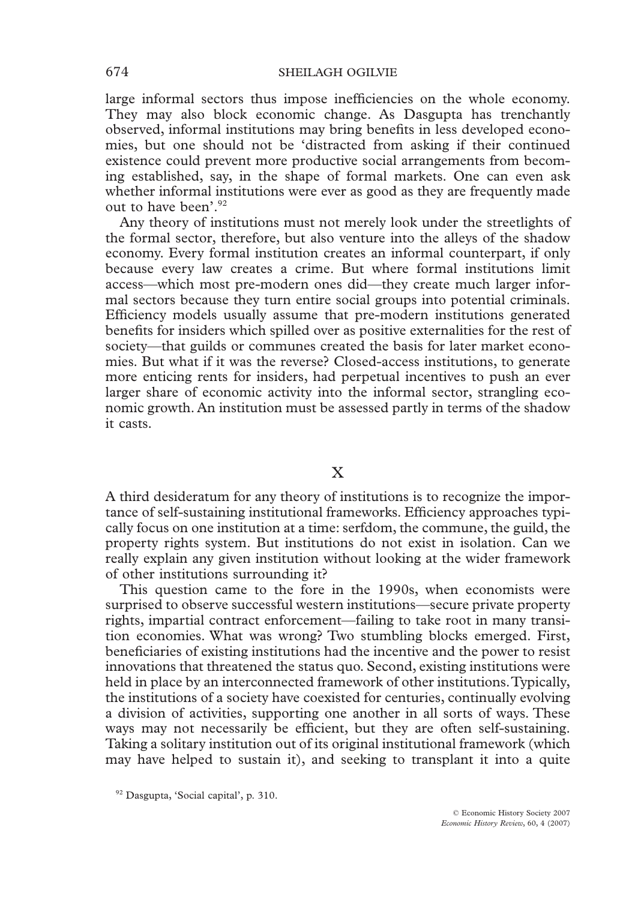large informal sectors thus impose inefficiencies on the whole economy. They may also block economic change. As Dasgupta has trenchantly observed, informal institutions may bring benefits in less developed economies, but one should not be 'distracted from asking if their continued existence could prevent more productive social arrangements from becoming established, say, in the shape of formal markets. One can even ask whether informal institutions were ever as good as they are frequently made out to have been'.<sup>92</sup>

Any theory of institutions must not merely look under the streetlights of the formal sector, therefore, but also venture into the alleys of the shadow economy. Every formal institution creates an informal counterpart, if only because every law creates a crime. But where formal institutions limit access—which most pre-modern ones did—they create much larger informal sectors because they turn entire social groups into potential criminals. Efficiency models usually assume that pre-modern institutions generated benefits for insiders which spilled over as positive externalities for the rest of society—that guilds or communes created the basis for later market economies. But what if it was the reverse? Closed-access institutions, to generate more enticing rents for insiders, had perpetual incentives to push an ever larger share of economic activity into the informal sector, strangling economic growth. An institution must be assessed partly in terms of the shadow it casts.

X

A third desideratum for any theory of institutions is to recognize the importance of self-sustaining institutional frameworks. Efficiency approaches typically focus on one institution at a time: serfdom, the commune, the guild, the property rights system. But institutions do not exist in isolation. Can we really explain any given institution without looking at the wider framework of other institutions surrounding it?

This question came to the fore in the 1990s, when economists were surprised to observe successful western institutions—secure private property rights, impartial contract enforcement—failing to take root in many transition economies. What was wrong? Two stumbling blocks emerged. First, beneficiaries of existing institutions had the incentive and the power to resist innovations that threatened the status quo. Second, existing institutions were held in place by an interconnected framework of other institutions.Typically, the institutions of a society have coexisted for centuries, continually evolving a division of activities, supporting one another in all sorts of ways. These ways may not necessarily be efficient, but they are often self-sustaining. Taking a solitary institution out of its original institutional framework (which may have helped to sustain it), and seeking to transplant it into a quite

<sup>92</sup> Dasgupta, 'Social capital', p. 310.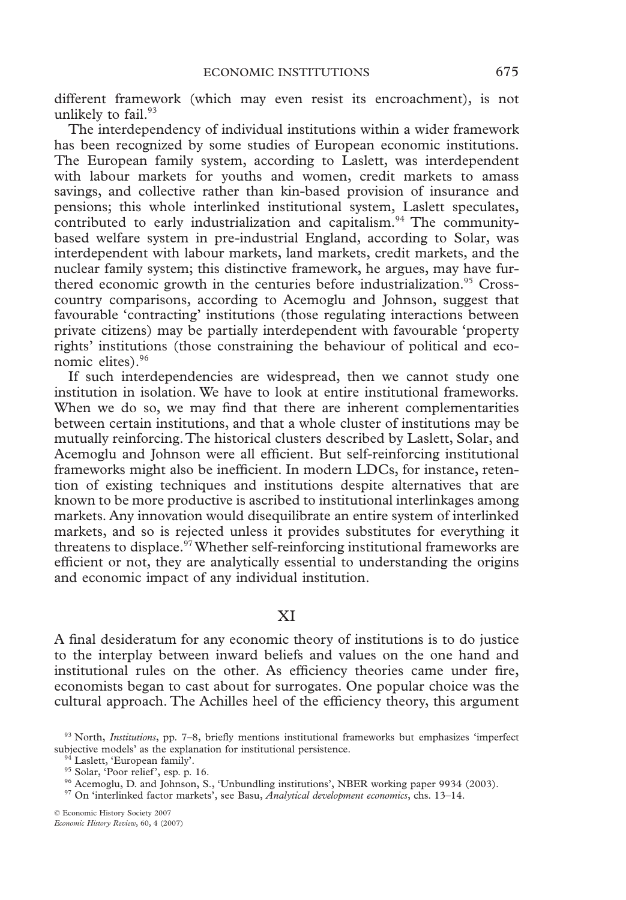different framework (which may even resist its encroachment), is not unlikely to fail.<sup>93</sup>

The interdependency of individual institutions within a wider framework has been recognized by some studies of European economic institutions. The European family system, according to Laslett, was interdependent with labour markets for youths and women, credit markets to amass savings, and collective rather than kin-based provision of insurance and pensions; this whole interlinked institutional system, Laslett speculates, contributed to early industrialization and capitalism.<sup>94</sup> The communitybased welfare system in pre-industrial England, according to Solar, was interdependent with labour markets, land markets, credit markets, and the nuclear family system; this distinctive framework, he argues, may have furthered economic growth in the centuries before industrialization.<sup>95</sup> Crosscountry comparisons, according to Acemoglu and Johnson, suggest that favourable 'contracting' institutions (those regulating interactions between private citizens) may be partially interdependent with favourable 'property rights' institutions (those constraining the behaviour of political and economic elites).<sup>96</sup>

If such interdependencies are widespread, then we cannot study one institution in isolation. We have to look at entire institutional frameworks. When we do so, we may find that there are inherent complementarities between certain institutions, and that a whole cluster of institutions may be mutually reinforcing.The historical clusters described by Laslett, Solar, and Acemoglu and Johnson were all efficient. But self-reinforcing institutional frameworks might also be inefficient. In modern LDCs, for instance, retention of existing techniques and institutions despite alternatives that are known to be more productive is ascribed to institutional interlinkages among markets. Any innovation would disequilibrate an entire system of interlinked markets, and so is rejected unless it provides substitutes for everything it threatens to displace.<sup>97</sup>Whether self-reinforcing institutional frameworks are efficient or not, they are analytically essential to understanding the origins and economic impact of any individual institution.

### XI

A final desideratum for any economic theory of institutions is to do justice to the interplay between inward beliefs and values on the one hand and institutional rules on the other. As efficiency theories came under fire, economists began to cast about for surrogates. One popular choice was the cultural approach. The Achilles heel of the efficiency theory, this argument

<sup>93</sup> North, *Institutions*, pp. 7–8, briefly mentions institutional frameworks but emphasizes 'imperfect subjective models' as the explanation for institutional persistence.

<sup>&</sup>lt;sup>94</sup> Laslett, 'European family'.

<sup>&</sup>lt;sup>95</sup> Solar, 'Poor relief', esp. p. 16.

<sup>96</sup> Acemoglu, D. and Johnson, S., 'Unbundling institutions', NBER working paper 9934 (2003).

<sup>97</sup> On 'interlinked factor markets', see Basu, *Analytical development economics*, chs. 13–14.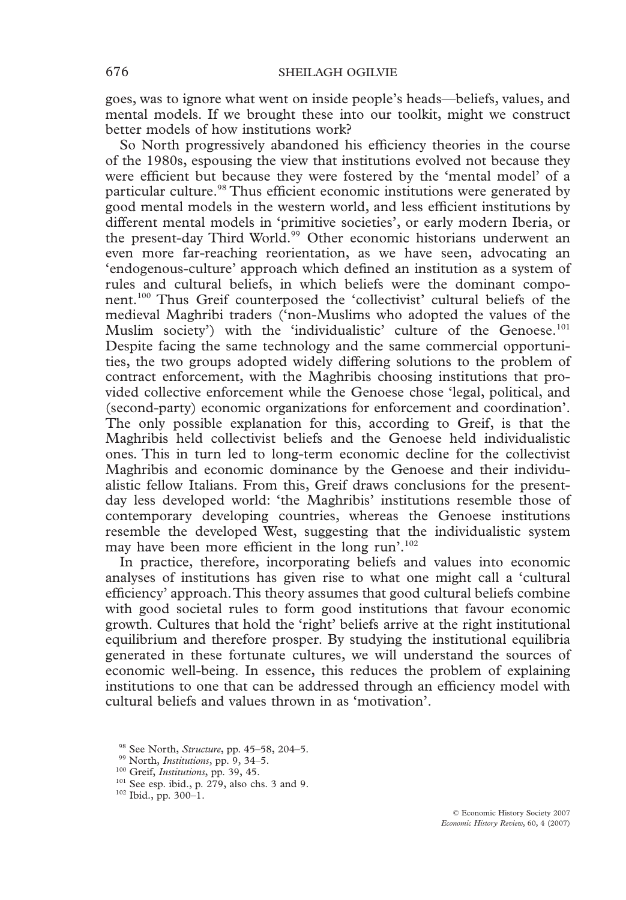goes, was to ignore what went on inside people's heads—beliefs, values, and mental models. If we brought these into our toolkit, might we construct better models of how institutions work?

So North progressively abandoned his efficiency theories in the course of the 1980s, espousing the view that institutions evolved not because they were efficient but because they were fostered by the 'mental model' of a particular culture.<sup>98</sup> Thus efficient economic institutions were generated by good mental models in the western world, and less efficient institutions by different mental models in 'primitive societies', or early modern Iberia, or the present-day Third World.<sup>99</sup> Other economic historians underwent an even more far-reaching reorientation, as we have seen, advocating an 'endogenous-culture' approach which defined an institution as a system of rules and cultural beliefs, in which beliefs were the dominant component.100 Thus Greif counterposed the 'collectivist' cultural beliefs of the medieval Maghribi traders ('non-Muslims who adopted the values of the Muslim society') with the 'individualistic' culture of the Genoese.<sup>101</sup> Despite facing the same technology and the same commercial opportunities, the two groups adopted widely differing solutions to the problem of contract enforcement, with the Maghribis choosing institutions that provided collective enforcement while the Genoese chose 'legal, political, and (second-party) economic organizations for enforcement and coordination'. The only possible explanation for this, according to Greif, is that the Maghribis held collectivist beliefs and the Genoese held individualistic ones. This in turn led to long-term economic decline for the collectivist Maghribis and economic dominance by the Genoese and their individualistic fellow Italians. From this, Greif draws conclusions for the presentday less developed world: 'the Maghribis' institutions resemble those of contemporary developing countries, whereas the Genoese institutions resemble the developed West, suggesting that the individualistic system may have been more efficient in the long run'.102

In practice, therefore, incorporating beliefs and values into economic analyses of institutions has given rise to what one might call a 'cultural efficiency' approach.This theory assumes that good cultural beliefs combine with good societal rules to form good institutions that favour economic growth. Cultures that hold the 'right' beliefs arrive at the right institutional equilibrium and therefore prosper. By studying the institutional equilibria generated in these fortunate cultures, we will understand the sources of economic well-being. In essence, this reduces the problem of explaining institutions to one that can be addressed through an efficiency model with cultural beliefs and values thrown in as 'motivation'.

<sup>98</sup> See North, *Structure*, pp. 45–58, 204–5.

<sup>99</sup> North, *Institutions*, pp. 9, 34–5.

<sup>100</sup> Greif, *Institutions*, pp. 39, 45.

<sup>101</sup> See esp. ibid., p. 279, also chs. 3 and 9.

<sup>102</sup> Ibid., pp. 300–1.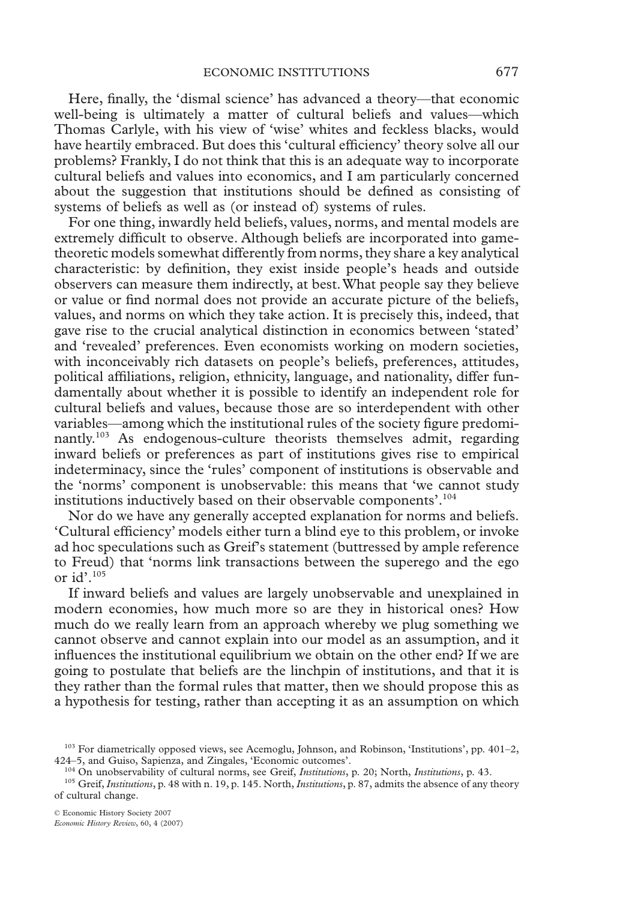Here, finally, the 'dismal science' has advanced a theory—that economic well-being is ultimately a matter of cultural beliefs and values—which Thomas Carlyle, with his view of 'wise' whites and feckless blacks, would have heartily embraced. But does this 'cultural efficiency' theory solve all our problems? Frankly, I do not think that this is an adequate way to incorporate cultural beliefs and values into economics, and I am particularly concerned about the suggestion that institutions should be defined as consisting of systems of beliefs as well as (or instead of) systems of rules.

For one thing, inwardly held beliefs, values, norms, and mental models are extremely difficult to observe. Although beliefs are incorporated into gametheoretic models somewhat differently from norms, they share a key analytical characteristic: by definition, they exist inside people's heads and outside observers can measure them indirectly, at best.What people say they believe or value or find normal does not provide an accurate picture of the beliefs, values, and norms on which they take action. It is precisely this, indeed, that gave rise to the crucial analytical distinction in economics between 'stated' and 'revealed' preferences. Even economists working on modern societies, with inconceivably rich datasets on people's beliefs, preferences, attitudes, political affiliations, religion, ethnicity, language, and nationality, differ fundamentally about whether it is possible to identify an independent role for cultural beliefs and values, because those are so interdependent with other variables—among which the institutional rules of the society figure predominantly.103 As endogenous-culture theorists themselves admit, regarding inward beliefs or preferences as part of institutions gives rise to empirical indeterminacy, since the 'rules' component of institutions is observable and the 'norms' component is unobservable: this means that 'we cannot study institutions inductively based on their observable components'.104

Nor do we have any generally accepted explanation for norms and beliefs. 'Cultural efficiency' models either turn a blind eye to this problem, or invoke ad hoc speculations such as Greif's statement (buttressed by ample reference to Freud) that 'norms link transactions between the superego and the ego or id'.105

If inward beliefs and values are largely unobservable and unexplained in modern economies, how much more so are they in historical ones? How much do we really learn from an approach whereby we plug something we cannot observe and cannot explain into our model as an assumption, and it influences the institutional equilibrium we obtain on the other end? If we are going to postulate that beliefs are the linchpin of institutions, and that it is they rather than the formal rules that matter, then we should propose this as a hypothesis for testing, rather than accepting it as an assumption on which

<sup>104</sup> On unobservability of cultural norms, see Greif, *Institutions*, p. 20; North, *Institutions*, p. 43.

<sup>103</sup> For diametrically opposed views, see Acemoglu, Johnson, and Robinson, 'Institutions', pp. 401–2, 424–5, and Guiso, Sapienza, and Zingales, 'Economic outcomes'.

<sup>105</sup> Greif, *Institutions*, p. 48 with n. 19, p. 145. North, *Institutions*, p. 87, admits the absence of any theory of cultural change.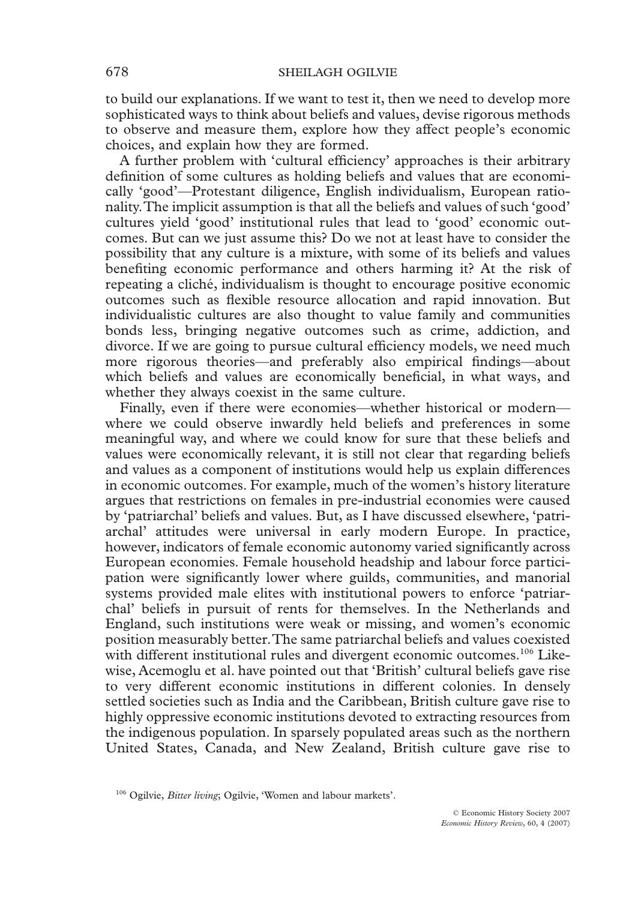to build our explanations. If we want to test it, then we need to develop more sophisticated ways to think about beliefs and values, devise rigorous methods to observe and measure them, explore how they affect people's economic choices, and explain how they are formed.

A further problem with 'cultural efficiency' approaches is their arbitrary definition of some cultures as holding beliefs and values that are economically 'good'—Protestant diligence, English individualism, European rationality.The implicit assumption is that all the beliefs and values of such 'good' cultures yield 'good' institutional rules that lead to 'good' economic outcomes. But can we just assume this? Do we not at least have to consider the possibility that any culture is a mixture, with some of its beliefs and values benefiting economic performance and others harming it? At the risk of repeating a cliché, individualism is thought to encourage positive economic outcomes such as flexible resource allocation and rapid innovation. But individualistic cultures are also thought to value family and communities bonds less, bringing negative outcomes such as crime, addiction, and divorce. If we are going to pursue cultural efficiency models, we need much more rigorous theories—and preferably also empirical findings—about which beliefs and values are economically beneficial, in what ways, and whether they always coexist in the same culture.

Finally, even if there were economies—whether historical or modern where we could observe inwardly held beliefs and preferences in some meaningful way, and where we could know for sure that these beliefs and values were economically relevant, it is still not clear that regarding beliefs and values as a component of institutions would help us explain differences in economic outcomes. For example, much of the women's history literature argues that restrictions on females in pre-industrial economies were caused by 'patriarchal' beliefs and values. But, as I have discussed elsewhere, 'patriarchal' attitudes were universal in early modern Europe. In practice, however, indicators of female economic autonomy varied significantly across European economies. Female household headship and labour force participation were significantly lower where guilds, communities, and manorial systems provided male elites with institutional powers to enforce 'patriarchal' beliefs in pursuit of rents for themselves. In the Netherlands and England, such institutions were weak or missing, and women's economic position measurably better.The same patriarchal beliefs and values coexisted with different institutional rules and divergent economic outcomes.<sup>106</sup> Likewise, Acemoglu et al. have pointed out that 'British' cultural beliefs gave rise to very different economic institutions in different colonies. In densely settled societies such as India and the Caribbean, British culture gave rise to highly oppressive economic institutions devoted to extracting resources from the indigenous population. In sparsely populated areas such as the northern United States, Canada, and New Zealand, British culture gave rise to

<sup>106</sup> Ogilvie, *Bitter living*; Ogilvie, 'Women and labour markets'.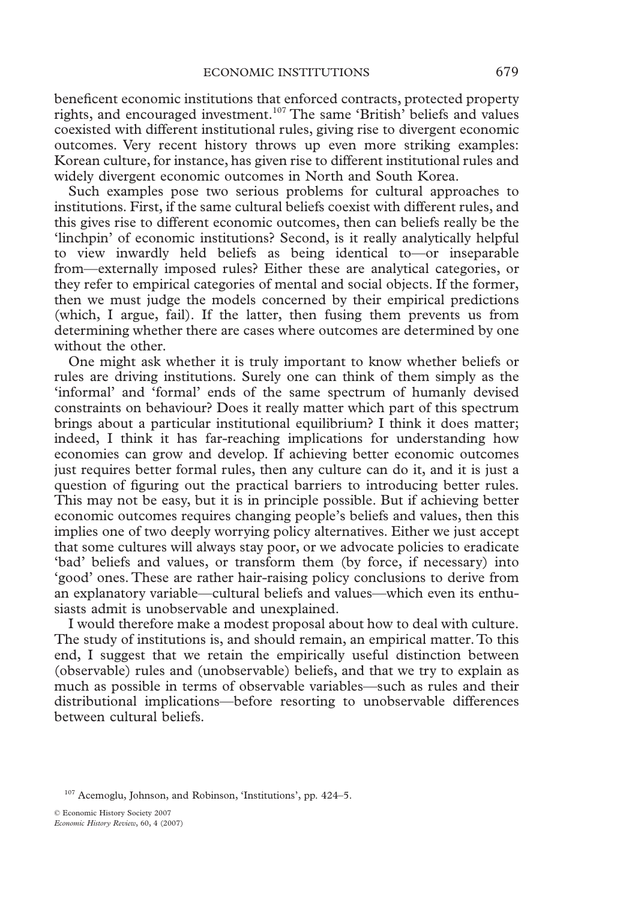beneficent economic institutions that enforced contracts, protected property rights, and encouraged investment.107 The same 'British' beliefs and values coexisted with different institutional rules, giving rise to divergent economic outcomes. Very recent history throws up even more striking examples: Korean culture, for instance, has given rise to different institutional rules and widely divergent economic outcomes in North and South Korea.

Such examples pose two serious problems for cultural approaches to institutions. First, if the same cultural beliefs coexist with different rules, and this gives rise to different economic outcomes, then can beliefs really be the 'linchpin' of economic institutions? Second, is it really analytically helpful to view inwardly held beliefs as being identical to—or inseparable from—externally imposed rules? Either these are analytical categories, or they refer to empirical categories of mental and social objects. If the former, then we must judge the models concerned by their empirical predictions (which, I argue, fail). If the latter, then fusing them prevents us from determining whether there are cases where outcomes are determined by one without the other.

One might ask whether it is truly important to know whether beliefs or rules are driving institutions. Surely one can think of them simply as the 'informal' and 'formal' ends of the same spectrum of humanly devised constraints on behaviour? Does it really matter which part of this spectrum brings about a particular institutional equilibrium? I think it does matter; indeed, I think it has far-reaching implications for understanding how economies can grow and develop. If achieving better economic outcomes just requires better formal rules, then any culture can do it, and it is just a question of figuring out the practical barriers to introducing better rules. This may not be easy, but it is in principle possible. But if achieving better economic outcomes requires changing people's beliefs and values, then this implies one of two deeply worrying policy alternatives. Either we just accept that some cultures will always stay poor, or we advocate policies to eradicate 'bad' beliefs and values, or transform them (by force, if necessary) into 'good' ones. These are rather hair-raising policy conclusions to derive from an explanatory variable—cultural beliefs and values—which even its enthusiasts admit is unobservable and unexplained.

I would therefore make a modest proposal about how to deal with culture. The study of institutions is, and should remain, an empirical matter.To this end, I suggest that we retain the empirically useful distinction between (observable) rules and (unobservable) beliefs, and that we try to explain as much as possible in terms of observable variables—such as rules and their distributional implications—before resorting to unobservable differences between cultural beliefs.

<sup>107</sup> Acemoglu, Johnson, and Robinson, 'Institutions', pp. 424–5.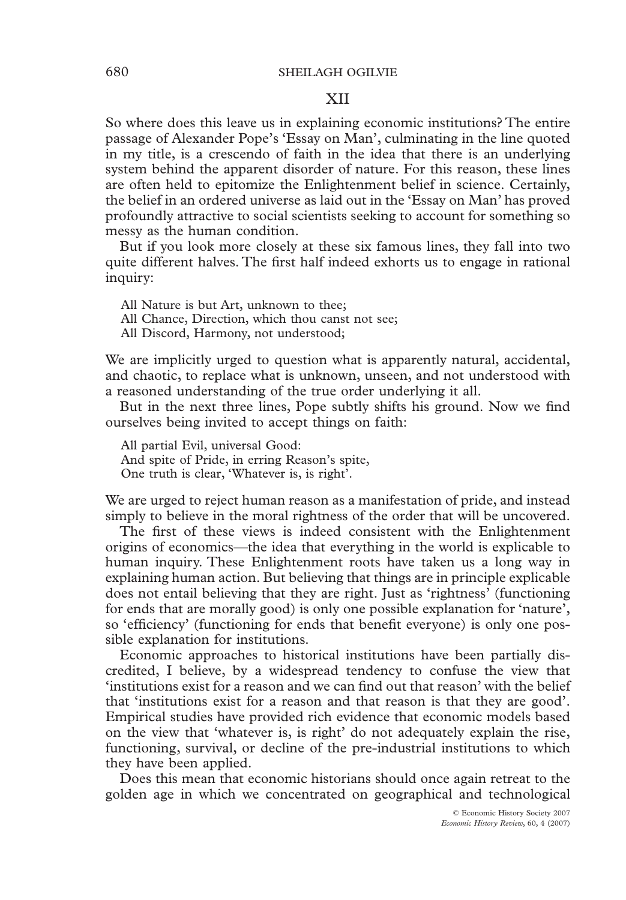## XII

So where does this leave us in explaining economic institutions? The entire passage of Alexander Pope's 'Essay on Man', culminating in the line quoted in my title, is a crescendo of faith in the idea that there is an underlying system behind the apparent disorder of nature. For this reason, these lines are often held to epitomize the Enlightenment belief in science. Certainly, the belief in an ordered universe as laid out in the 'Essay on Man' has proved profoundly attractive to social scientists seeking to account for something so messy as the human condition.

But if you look more closely at these six famous lines, they fall into two quite different halves. The first half indeed exhorts us to engage in rational inquiry:

All Nature is but Art, unknown to thee; All Chance, Direction, which thou canst not see; All Discord, Harmony, not understood;

We are implicitly urged to question what is apparently natural, accidental, and chaotic, to replace what is unknown, unseen, and not understood with a reasoned understanding of the true order underlying it all.

But in the next three lines, Pope subtly shifts his ground. Now we find ourselves being invited to accept things on faith:

All partial Evil, universal Good: And spite of Pride, in erring Reason's spite, One truth is clear, 'Whatever is, is right'.

We are urged to reject human reason as a manifestation of pride, and instead simply to believe in the moral rightness of the order that will be uncovered.

The first of these views is indeed consistent with the Enlightenment origins of economics—the idea that everything in the world is explicable to human inquiry. These Enlightenment roots have taken us a long way in explaining human action. But believing that things are in principle explicable does not entail believing that they are right. Just as 'rightness' (functioning for ends that are morally good) is only one possible explanation for 'nature', so 'efficiency' (functioning for ends that benefit everyone) is only one possible explanation for institutions.

Economic approaches to historical institutions have been partially discredited, I believe, by a widespread tendency to confuse the view that 'institutions exist for a reason and we can find out that reason' with the belief that 'institutions exist for a reason and that reason is that they are good'. Empirical studies have provided rich evidence that economic models based on the view that 'whatever is, is right' do not adequately explain the rise, functioning, survival, or decline of the pre-industrial institutions to which they have been applied.

Does this mean that economic historians should once again retreat to the golden age in which we concentrated on geographical and technological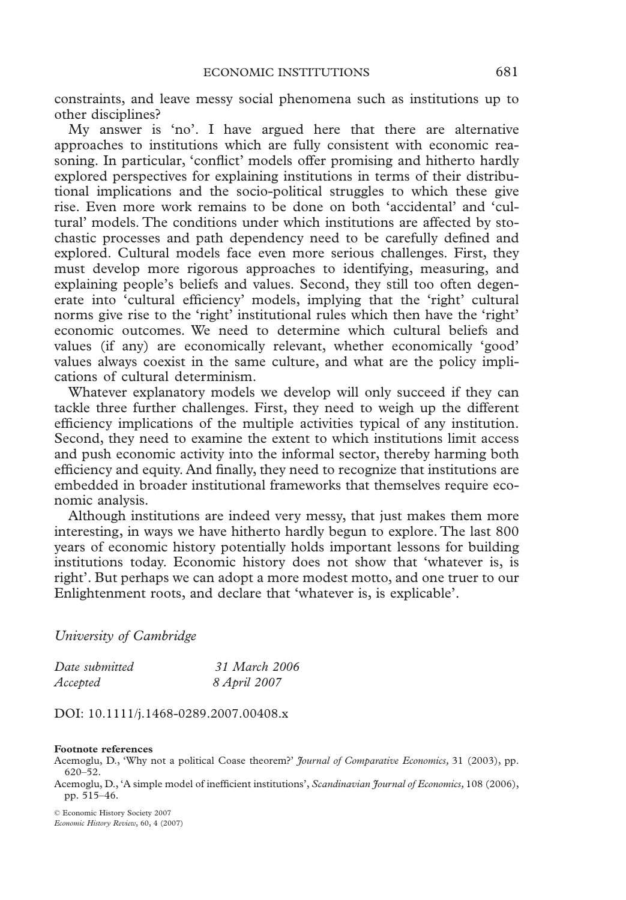constraints, and leave messy social phenomena such as institutions up to other disciplines?

My answer is 'no'. I have argued here that there are alternative approaches to institutions which are fully consistent with economic reasoning. In particular, 'conflict' models offer promising and hitherto hardly explored perspectives for explaining institutions in terms of their distributional implications and the socio-political struggles to which these give rise. Even more work remains to be done on both 'accidental' and 'cultural' models. The conditions under which institutions are affected by stochastic processes and path dependency need to be carefully defined and explored. Cultural models face even more serious challenges. First, they must develop more rigorous approaches to identifying, measuring, and explaining people's beliefs and values. Second, they still too often degenerate into 'cultural efficiency' models, implying that the 'right' cultural norms give rise to the 'right' institutional rules which then have the 'right' economic outcomes. We need to determine which cultural beliefs and values (if any) are economically relevant, whether economically 'good' values always coexist in the same culture, and what are the policy implications of cultural determinism.

Whatever explanatory models we develop will only succeed if they can tackle three further challenges. First, they need to weigh up the different efficiency implications of the multiple activities typical of any institution. Second, they need to examine the extent to which institutions limit access and push economic activity into the informal sector, thereby harming both efficiency and equity. And finally, they need to recognize that institutions are embedded in broader institutional frameworks that themselves require economic analysis.

Although institutions are indeed very messy, that just makes them more interesting, in ways we have hitherto hardly begun to explore. The last 800 years of economic history potentially holds important lessons for building institutions today. Economic history does not show that 'whatever is, is right'. But perhaps we can adopt a more modest motto, and one truer to our Enlightenment roots, and declare that 'whatever is, is explicable'.

*University of Cambridge*

| Date submitted | 31 March 2006 |
|----------------|---------------|
| Accepted       | 8 April 2007  |

#### DOI: 10.1111/j.1468-0289.2007.00408.x

**Footnote references**

Acemoglu, D., 'Why not a political Coase theorem?' *Journal of Comparative Economics,* 31 (2003), pp. 620–52.

Acemoglu, D., 'A simple model of inefficient institutions', *Scandinavian Journal of Economics,* 108 (2006), pp. 515–46.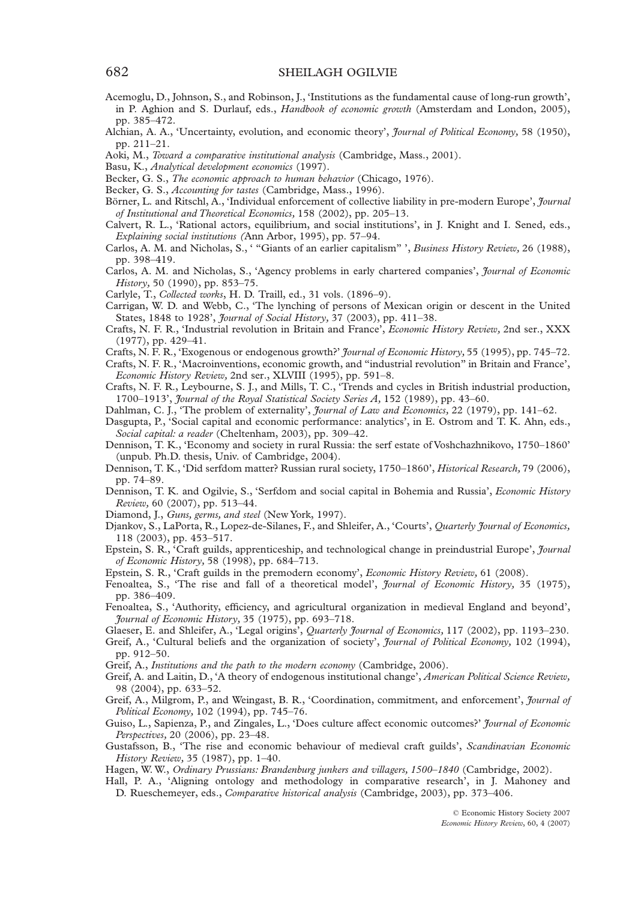#### 682 SHEILAGH OGILVIE

- Acemoglu, D., Johnson, S., and Robinson, J., 'Institutions as the fundamental cause of long-run growth', in P. Aghion and S. Durlauf, eds., *Handbook of economic growth* (Amsterdam and London, 2005), pp. 385–472.
- Alchian, A. A., 'Uncertainty, evolution, and economic theory', *Journal of Political Economy,* 58 (1950), pp. 211–21.
- Aoki, M., *Toward a comparative institutional analysis* (Cambridge, Mass., 2001).
- Basu, K., *Analytical development economics* (1997).
- Becker, G. S., *The economic approach to human behavior* (Chicago, 1976).
- Becker, G. S., *Accounting for tastes* (Cambridge, Mass., 1996).
- Börner, L. and Ritschl, A., 'Individual enforcement of collective liability in pre-modern Europe', *Journal of Institutional and Theoretical Economics,* 158 (2002), pp. 205–13.
- Calvert, R. L., 'Rational actors, equilibrium, and social institutions', in J. Knight and I. Sened, eds., *Explaining social institutions (*Ann Arbor, 1995), pp. 57–94.
- Carlos, A. M. and Nicholas, S., ' "Giants of an earlier capitalism" ', *Business History Review,* 26 (1988), pp. 398–419.
- Carlos, A. M. and Nicholas, S., 'Agency problems in early chartered companies', *Journal of Economic History,* 50 (1990), pp. 853–75.
- Carlyle, T., *Collected works*, H. D. Traill, ed., 31 vols. (1896–9).
- Carrigan, W. D. and Webb, C., 'The lynching of persons of Mexican origin or descent in the United States, 1848 to 1928', *Journal of Social History,* 37 (2003), pp. 411–38.
- Crafts, N. F. R., 'Industrial revolution in Britain and France', *Economic History Review,* 2nd ser., XXX (1977), pp. 429–41.
- Crafts, N. F. R., 'Exogenous or endogenous growth?' *Journal of Economic History,* 55 (1995), pp. 745–72.
- Crafts, N. F. R., 'Macroinventions, economic growth, and "industrial revolution" in Britain and France', *Economic History Review,* 2nd ser., XLVIII (1995), pp. 591–8.
- Crafts, N. F. R., Leybourne, S. J., and Mills, T. C., 'Trends and cycles in British industrial production, 1700–1913', *Journal of the Royal Statistical Society Series A,* 152 (1989), pp. 43–60.
- Dahlman, C. J., 'The problem of externality', *Journal of Law and Economics,* 22 (1979), pp. 141–62.
- Dasgupta, P., 'Social capital and economic performance: analytics', in E. Ostrom and T. K. Ahn, eds., *Social capital: a reader* (Cheltenham, 2003), pp. 309–42.
- Dennison, T. K., 'Economy and society in rural Russia: the serf estate of Voshchazhnikovo, 1750–1860' (unpub. Ph.D. thesis, Univ. of Cambridge, 2004).
- Dennison, T. K., 'Did serfdom matter? Russian rural society, 1750–1860', *Historical Research,* 79 (2006), pp. 74–89.
- Dennison, T. K. and Ogilvie, S., 'Serfdom and social capital in Bohemia and Russia', *Economic History Review,* 60 (2007), pp. 513–44.
- Diamond, J., *Guns, germs, and steel* (New York, 1997).
- Djankov, S., LaPorta, R., Lopez-de-Silanes, F., and Shleifer, A., 'Courts', *Quarterly Journal of Economics,* 118 (2003), pp. 453–517.
- Epstein, S. R., 'Craft guilds, apprenticeship, and technological change in preindustrial Europe', *Journal of Economic History,* 58 (1998), pp. 684–713.
- Epstein, S. R., 'Craft guilds in the premodern economy', *Economic History Review,* 61 (2008).
- Fenoaltea, S., 'The rise and fall of a theoretical model', *Journal of Economic History,* 35 (1975), pp. 386–409.
- Fenoaltea, S., 'Authority, efficiency, and agricultural organization in medieval England and beyond', *Journal of Economic History,* 35 (1975), pp. 693–718.
- Glaeser, E. and Shleifer, A., 'Legal origins', *Quarterly Journal of Economics,* 117 (2002), pp. 1193–230.
- Greif, A., 'Cultural beliefs and the organization of society', *Journal of Political Economy,* 102 (1994), pp. 912–50.
- Greif, A., *Institutions and the path to the modern economy* (Cambridge, 2006).
- Greif, A. and Laitin, D., 'A theory of endogenous institutional change', *American Political Science Review,* 98 (2004), pp. 633–52.
- Greif, A., Milgrom, P., and Weingast, B. R., 'Coordination, commitment, and enforcement', *Journal of Political Economy,* 102 (1994), pp. 745–76.
- Guiso, L., Sapienza, P., and Zingales, L., 'Does culture affect economic outcomes?' *Journal of Economic Perspectives,* 20 (2006), pp. 23–48.
- Gustafsson, B., 'The rise and economic behaviour of medieval craft guilds', *Scandinavian Economic History Review,* 35 (1987), pp. 1–40.
- Hagen, W. W., *Ordinary Prussians: Brandenburg junkers and villagers, 1500–1840* (Cambridge, 2002).
- Hall, P. A., 'Aligning ontology and methodology in comparative research', in J. Mahoney and D. Rueschemeyer, eds., *Comparative historical analysis* (Cambridge, 2003), pp. 373–406.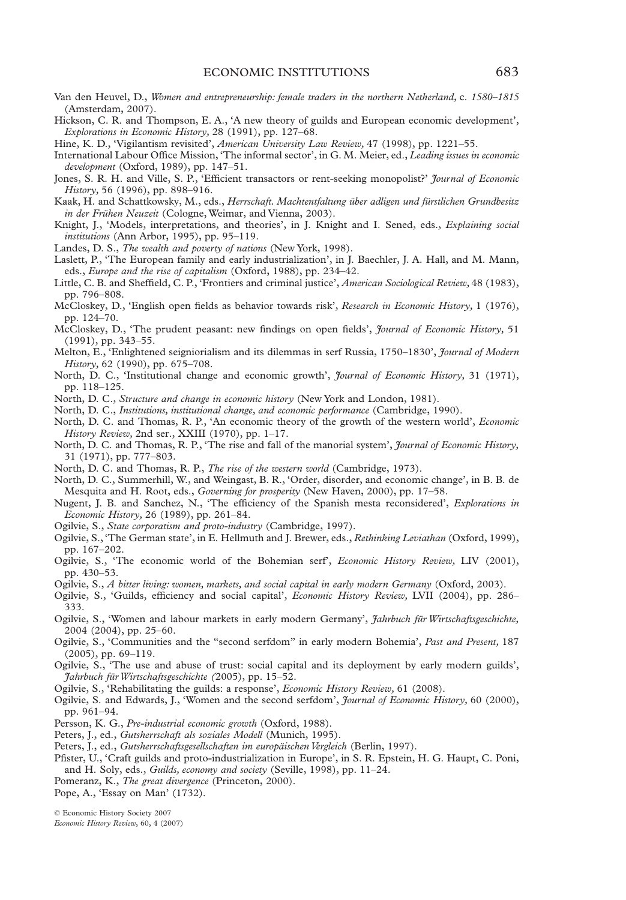- Van den Heuvel, D., *Women and entrepreneurship: female traders in the northern Netherland,* c. *1580–1815* (Amsterdam, 2007).
- Hickson, C. R. and Thompson, E. A., 'A new theory of guilds and European economic development', *Explorations in Economic History,* 28 (1991), pp. 127–68.
- Hine, K. D., 'Vigilantism revisited', *American University Law Review,* 47 (1998), pp. 1221–55.
- International Labour Office Mission, 'The informal sector', in G. M. Meier, ed., *Leading issues in economic development* (Oxford, 1989), pp. 147–51.
- Jones, S. R. H. and Ville, S. P., 'Efficient transactors or rent-seeking monopolist?' *Journal of Economic History,* 56 (1996), pp. 898–916.
- Kaak, H. and Schattkowsky, M., eds., *Herrschaft. Machtentfaltung über adligen und fürstlichen Grundbesitz in der Frühen Neuzeit* (Cologne, Weimar, and Vienna, 2003).
- Knight, J., 'Models, interpretations, and theories', in J. Knight and I. Sened, eds., *Explaining social institutions* (Ann Arbor, 1995), pp. 95–119.
- Landes, D. S., *The wealth and poverty of nations* (New York, 1998).
- Laslett, P., 'The European family and early industrialization', in J. Baechler, J. A. Hall, and M. Mann, eds., *Europe and the rise of capitalism* (Oxford, 1988), pp. 234–42.
- Little, C. B. and Sheffield, C. P., 'Frontiers and criminal justice', *American Sociological Review,* 48 (1983), pp. 796–808.
- McCloskey, D., 'English open fields as behavior towards risk', *Research in Economic History,* 1 (1976), pp. 124–70.
- McCloskey, D., 'The prudent peasant: new findings on open fields', *Journal of Economic History,* 51 (1991), pp. 343–55.
- Melton, E., 'Enlightened seigniorialism and its dilemmas in serf Russia, 1750–1830', *Journal of Modern History,* 62 (1990), pp. 675–708.
- North, D. C., 'Institutional change and economic growth', *Journal of Economic History,* 31 (1971), pp. 118–125.
- North, D. C., *Structure and change in economic history* (New York and London, 1981).
- North, D. C., *Institutions, institutional change, and economic performance* (Cambridge, 1990).
- North, D. C. and Thomas, R. P., 'An economic theory of the growth of the western world', *Economic History Review,* 2nd ser., XXIII (1970), pp. 1–17.
- North, D. C. and Thomas, R. P., 'The rise and fall of the manorial system', *Journal of Economic History,* 31 (1971), pp. 777–803.
- North, D. C. and Thomas, R. P., *The rise of the western world* (Cambridge, 1973).
- North, D. C., Summerhill, W., and Weingast, B. R., 'Order, disorder, and economic change', in B. B. de Mesquita and H. Root, eds., *Governing for prosperity* (New Haven, 2000), pp. 17–58.
- Nugent, J. B. and Sanchez, N., 'The efficiency of the Spanish mesta reconsidered', *Explorations in Economic History,* 26 (1989), pp. 261–84.
- Ogilvie, S., *State corporatism and proto-industry* (Cambridge, 1997).
- Ogilvie, S., 'The German state', in E. Hellmuth and J. Brewer, eds., *Rethinking Leviathan* (Oxford, 1999), pp. 167–202.
- Ogilvie, S., 'The economic world of the Bohemian serf', *Economic History Review,* LIV (2001), pp. 430–53.
- Ogilvie, S., *A bitter living: women, markets, and social capital in early modern Germany* (Oxford, 2003).
- Ogilvie, S., 'Guilds, efficiency and social capital', *Economic History Review,* LVII (2004), pp. 286– 333.
- Ogilvie, S., 'Women and labour markets in early modern Germany', *Jahrbuch für Wirtschaftsgeschichte,* 2004 (2004), pp. 25–60.
- Ogilvie, S., 'Communities and the "second serfdom" in early modern Bohemia', *Past and Present,* 187 (2005), pp. 69–119.
- Ogilvie, S., 'The use and abuse of trust: social capital and its deployment by early modern guilds', *Jahrbuch fürWirtschaftsgeschichte (*2005), pp. 15–52.
- Ogilvie, S., 'Rehabilitating the guilds: a response', *Economic History Review,* 61 (2008).
- Ogilvie, S. and Edwards, J., 'Women and the second serfdom', *Journal of Economic History,* 60 (2000), pp. 961–94.
- Persson, K. G., *Pre-industrial economic growth* (Oxford, 1988).
- Peters, J., ed., *Gutsherrschaft als soziales Modell* (Munich, 1995).
- Peters, J., ed., *Gutsherrschaftsgesellschaften im europäischen Vergleich* (Berlin, 1997).
- Pfister, U., 'Craft guilds and proto-industrialization in Europe', in S. R. Epstein, H. G. Haupt, C. Poni, and H. Soly, eds., *Guilds, economy and society* (Seville, 1998), pp. 11–24.
- Pomeranz, K., *The great divergence* (Princeton, 2000).

Pope, A., 'Essay on Man' (1732).

© Economic History Society 2007

*Economic History Review*, 60, 4 (2007)